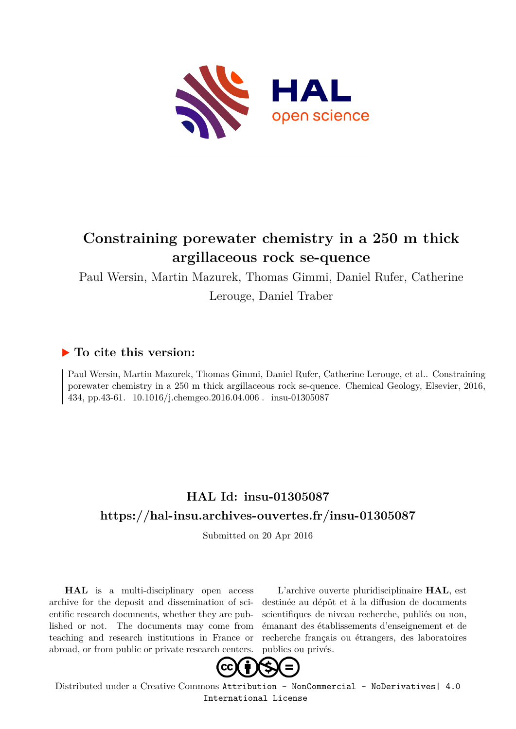

### **Constraining porewater chemistry in a 250 m thick argillaceous rock se-quence**

Paul Wersin, Martin Mazurek, Thomas Gimmi, Daniel Rufer, Catherine

Lerouge, Daniel Traber

### **To cite this version:**

Paul Wersin, Martin Mazurek, Thomas Gimmi, Daniel Rufer, Catherine Lerouge, et al.. Constraining porewater chemistry in a 250 m thick argillaceous rock se-quence. Chemical Geology, Elsevier, 2016, 434, pp.43-61. 10.1016/j.chemgeo.2016.04.006. insu-01305087

### **HAL Id: insu-01305087 <https://hal-insu.archives-ouvertes.fr/insu-01305087>**

Submitted on 20 Apr 2016

**HAL** is a multi-disciplinary open access archive for the deposit and dissemination of scientific research documents, whether they are published or not. The documents may come from teaching and research institutions in France or abroad, or from public or private research centers.

L'archive ouverte pluridisciplinaire **HAL**, est destinée au dépôt et à la diffusion de documents scientifiques de niveau recherche, publiés ou non, émanant des établissements d'enseignement et de recherche français ou étrangers, des laboratoires publics ou privés.



Distributed under a Creative Commons [Attribution - NonCommercial - NoDerivatives| 4.0](http://creativecommons.org/licenses/by-nc-nd/4.0/) [International License](http://creativecommons.org/licenses/by-nc-nd/4.0/)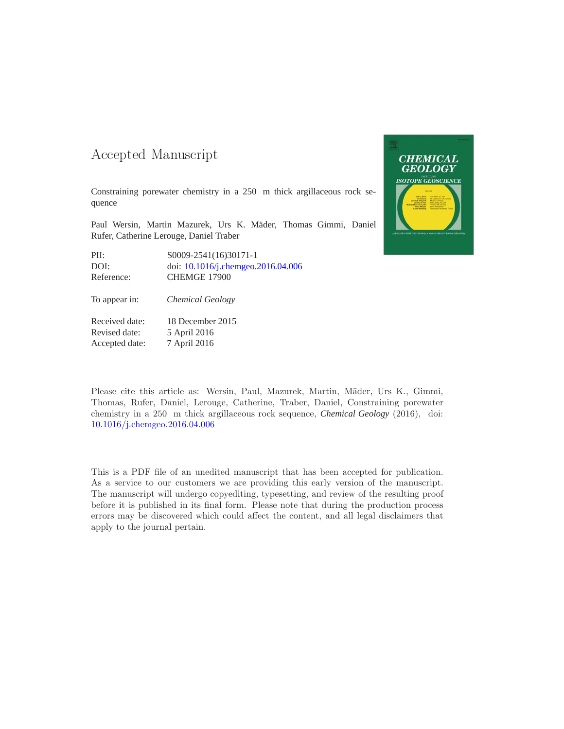### -- -

Constraining porewater chemistry in a 250 m thick argillaceous rock sequence

Paul Wersin, Martin Mazurek, Urs K. Mäder, Thomas Gimmi, Daniel Rufer, Catherine Lerouge, Daniel Traber

| PII:       | S0009-2541(16)30171-1                 |
|------------|---------------------------------------|
| DOI:       | doi: $10.1016$ /j.chemgeo.2016.04.006 |
| Reference: | CHEMGE 17900                          |

To appear in: *Chemical Geology*

Received date: 18 December 2015 Revised date: 5 April 2016 Accepted date: 7 April 2016



Please cite this article as: Wersin, Paul, Mazurek, Martin, M¨ader, Urs K., Gimmi, Thomas, Rufer, Daniel, Lerouge, Catherine, Traber, Daniel, Constraining porewater chemistry in a 250 m thick argillaceous rock sequence, *Chemical Geology* (2016), doi: [10.1016/j.chemgeo.2016.04.006](http://dx.doi.org/10.1016/j.chemgeo.2016.04.006)

This is a PDF file of an unedited manuscript that has been accepted for publication. As a service to our customers we are providing this early version of the manuscript. The manuscript will undergo copyediting, typesetting, and review of the resulting proof before it is published in its final form. Please note that during the production process errors may be discovered which could affect the content, and all legal disclaimers that apply to the journal pertain.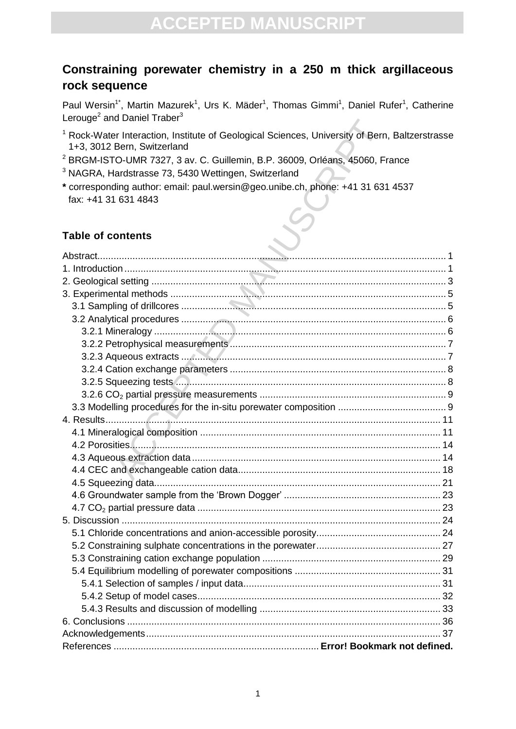### **Constraining porewater chemistry in a 250 m thick argillaceous rock sequence**

Paul Wersin<sup>1\*</sup>, Martin Mazurek<sup>1</sup>, Urs K. Mäder<sup>1</sup>, Thomas Gimmi<sup>1</sup>, Daniel Rufer<sup>1</sup>, Catherine Lerouge<sup>2</sup> and Daniel Traber<sup>3</sup>

- <sup>1</sup> Rock-Water Interaction, Institute of Geological Sciences, University of Bern, Baltzerstrasse 1+3, 3012 Bern, Switzerland
- <sup>2</sup> BRGM-ISTO-UMR 7327, 3 av. C. Guillemin, B.P. 36009, Orléans, 45060, France
- <sup>3</sup> NAGRA, Hardstrasse 73, 5430 Wettingen, Switzerland
- **\*** corresponding author: email: paul.wersin@geo.unibe.ch, phone: +41 31 631 4537 fax: +41 31 631 4843

### **Table of contents**

| <u>reinnare</u> and namer Haner                                                                                                          |  |
|------------------------------------------------------------------------------------------------------------------------------------------|--|
| <sup>1</sup> Rock-Water Interaction, Institute of Geological Sciences, University of Bern, Baltzerstrasse<br>1+3, 3012 Bern, Switzerland |  |
| <sup>2</sup> BRGM-ISTO-UMR 7327, 3 av. C. Guillemin, B.P. 36009, Orléans, 45060, France                                                  |  |
| <sup>3</sup> NAGRA, Hardstrasse 73, 5430 Wettingen, Switzerland                                                                          |  |
| * corresponding author: email: paul.wersin@geo.unibe.ch, phone: +41 31 631 4537                                                          |  |
| fax: +41 31 631 4843                                                                                                                     |  |
|                                                                                                                                          |  |
|                                                                                                                                          |  |
| <b>Table of contents</b>                                                                                                                 |  |
|                                                                                                                                          |  |
|                                                                                                                                          |  |
|                                                                                                                                          |  |
|                                                                                                                                          |  |
|                                                                                                                                          |  |
|                                                                                                                                          |  |
|                                                                                                                                          |  |
|                                                                                                                                          |  |
|                                                                                                                                          |  |
|                                                                                                                                          |  |
|                                                                                                                                          |  |
|                                                                                                                                          |  |
|                                                                                                                                          |  |
|                                                                                                                                          |  |
|                                                                                                                                          |  |
|                                                                                                                                          |  |
|                                                                                                                                          |  |
|                                                                                                                                          |  |
|                                                                                                                                          |  |
|                                                                                                                                          |  |
|                                                                                                                                          |  |
|                                                                                                                                          |  |
|                                                                                                                                          |  |
|                                                                                                                                          |  |
|                                                                                                                                          |  |
|                                                                                                                                          |  |
|                                                                                                                                          |  |
|                                                                                                                                          |  |
|                                                                                                                                          |  |
|                                                                                                                                          |  |
|                                                                                                                                          |  |
|                                                                                                                                          |  |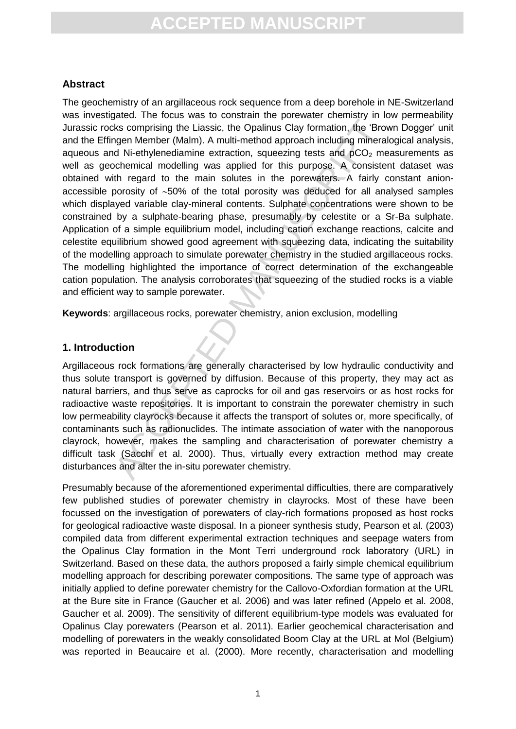### **Abstract**

sks comprising the Liassic, the Opalinus Clay formation, the Brogen Member (Malm). A multi-method approach including minerary of Ni-ethylenediamine extraction, squeezing tests and pCO<sub>2</sub> member (Malm). A multi-method appro The geochemistry of an argillaceous rock sequence from a deep borehole in NE-Switzerland was investigated. The focus was to constrain the porewater chemistry in low permeability Jurassic rocks comprising the Liassic, the Opalinus Clay formation, the "Brown Dogger" unit and the Effingen Member (Malm). A multi-method approach including mineralogical analysis, aqueous and Ni-ethylenediamine extraction, squeezing tests and  $pCO<sub>2</sub>$  measurements as well as geochemical modelling was applied for this purpose. A consistent dataset was obtained with regard to the main solutes in the porewaters. A fairly constant anionaccessible porosity of  $~50\%$  of the total porosity was deduced for all analysed samples which displayed variable clay-mineral contents. Sulphate concentrations were shown to be constrained by a sulphate-bearing phase, presumably by celestite or a Sr-Ba sulphate. Application of a simple equilibrium model, including cation exchange reactions, calcite and celestite equilibrium showed good agreement with squeezing data, indicating the suitability of the modelling approach to simulate porewater chemistry in the studied argillaceous rocks. The modelling highlighted the importance of correct determination of the exchangeable cation population. The analysis corroborates that squeezing of the studied rocks is a viable and efficient way to sample porewater.

**Keywords**: argillaceous rocks, porewater chemistry, anion exclusion, modelling

### **1. Introduction**

Argillaceous rock formations are generally characterised by low hydraulic conductivity and thus solute transport is governed by diffusion. Because of this property, they may act as natural barriers, and thus serve as caprocks for oil and gas reservoirs or as host rocks for radioactive waste repositories. It is important to constrain the porewater chemistry in such low permeability clayrocks because it affects the transport of solutes or, more specifically, of contaminants such as radionuclides. The intimate association of water with the nanoporous clayrock, however, makes the sampling and characterisation of porewater chemistry a difficult task (Sacchi et al. 2000). Thus, virtually every extraction method may create disturbances and alter the in-situ porewater chemistry.

Presumably because of the aforementioned experimental difficulties, there are comparatively few published studies of porewater chemistry in clayrocks. Most of these have been focussed on the investigation of porewaters of clay-rich formations proposed as host rocks for geological radioactive waste disposal. In a pioneer synthesis study, Pearson et al. (2003) compiled data from different experimental extraction techniques and seepage waters from the Opalinus Clay formation in the Mont Terri underground rock laboratory (URL) in Switzerland. Based on these data, the authors proposed a fairly simple chemical equilibrium modelling approach for describing porewater compositions. The same type of approach was initially applied to define porewater chemistry for the Callovo-Oxfordian formation at the URL at the Bure site in France (Gaucher et al. 2006) and was later refined (Appelo et al. 2008, Gaucher et al. 2009). The sensitivity of different equilibrium-type models was evaluated for Opalinus Clay porewaters (Pearson et al. 2011). Earlier geochemical characterisation and modelling of porewaters in the weakly consolidated Boom Clay at the URL at Mol (Belgium) was reported in Beaucaire et al. (2000). More recently, characterisation and modelling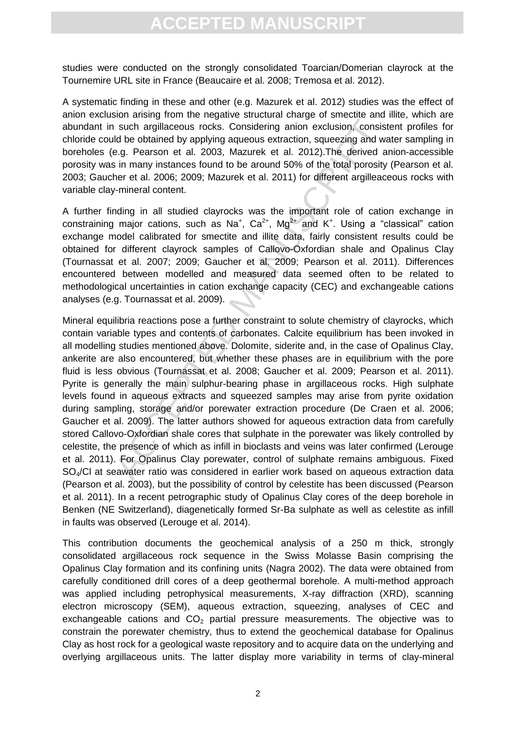studies were conducted on the strongly consolidated Toarcian/Domerian clayrock at the Tournemire URL site in France (Beaucaire et al. 2008; Tremosa et al. 2012).

A systematic finding in these and other (e.g. Mazurek et al. 2012) studies was the effect of anion exclusion arising from the negative structural charge of smectite and illite, which are abundant in such argillaceous rocks. Considering anion exclusion, consistent profiles for chloride could be obtained by applying aqueous extraction, squeezing and water sampling in boreholes (e.g. Pearson et al. 2003, Mazurek et al. 2012).The derived anion-accessible porosity was in many instances found to be around 50% of the total porosity (Pearson et al. 2003; Gaucher et al. 2006; 2009; Mazurek et al. 2011) for different argilleaceous rocks with variable clay-mineral content.

A further finding in all studied clayrocks was the important role of cation exchange in constraining major cations, such as Na<sup>+</sup>, Ca<sup>2+</sup>, Mg<sup>2+</sup> and K<sup>+</sup>. Using a "classical" cation exchange model calibrated for smectite and illite data, fairly consistent results could be obtained for different clayrock samples of Callovo-Oxfordian shale and Opalinus Clay (Tournassat et al. 2007; 2009; Gaucher et al. 2009; Pearson et al. 2011). Differences encountered between modelled and measured data seemed often to be related to methodological uncertainties in cation exchange capacity (CEC) and exchangeable cations analyses (e.g. Tournassat et al. 2009).

is usual and papelia stracts. Considering anion exclusion, consisted be obtained by applying aqueous extraction, squeezing and we e.g. Pearson et al. 2003, Mazurek et al. 2012). The derived at a 2014 in many instances foun Mineral equilibria reactions pose a further constraint to solute chemistry of clayrocks, which contain variable types and contents of carbonates. Calcite equilibrium has been invoked in all modelling studies mentioned above. Dolomite, siderite and, in the case of Opalinus Clay, ankerite are also encountered, but whether these phases are in equilibrium with the pore fluid is less obvious (Tournassat et al. 2008; Gaucher et al. 2009; Pearson et al. 2011). Pyrite is generally the main sulphur-bearing phase in argillaceous rocks. High sulphate levels found in aqueous extracts and squeezed samples may arise from pyrite oxidation during sampling, storage and/or porewater extraction procedure (De Craen et al. 2006; Gaucher et al. 2009). The latter authors showed for aqueous extraction data from carefully stored Callovo-Oxfordian shale cores that sulphate in the porewater was likely controlled by celestite, the presence of which as infill in bioclasts and veins was later confirmed (Lerouge et al. 2011). For Opalinus Clay porewater, control of sulphate remains ambiguous. Fixed SO4/Cl at seawater ratio was considered in earlier work based on aqueous extraction data (Pearson et al. 2003), but the possibility of control by celestite has been discussed (Pearson et al. 2011). In a recent petrographic study of Opalinus Clay cores of the deep borehole in Benken (NE Switzerland), diagenetically formed Sr-Ba sulphate as well as celestite as infill in faults was observed (Lerouge et al. 2014).

This contribution documents the geochemical analysis of a 250 m thick, strongly consolidated argillaceous rock sequence in the Swiss Molasse Basin comprising the Opalinus Clay formation and its confining units (Nagra 2002). The data were obtained from carefully conditioned drill cores of a deep geothermal borehole. A multi-method approach was applied including petrophysical measurements, X-ray diffraction (XRD), scanning electron microscopy (SEM), aqueous extraction, squeezing, analyses of CEC and exchangeable cations and  $CO<sub>2</sub>$  partial pressure measurements. The objective was to constrain the porewater chemistry, thus to extend the geochemical database for Opalinus Clay as host rock for a geological waste repository and to acquire data on the underlying and overlying argillaceous units. The latter display more variability in terms of clay-mineral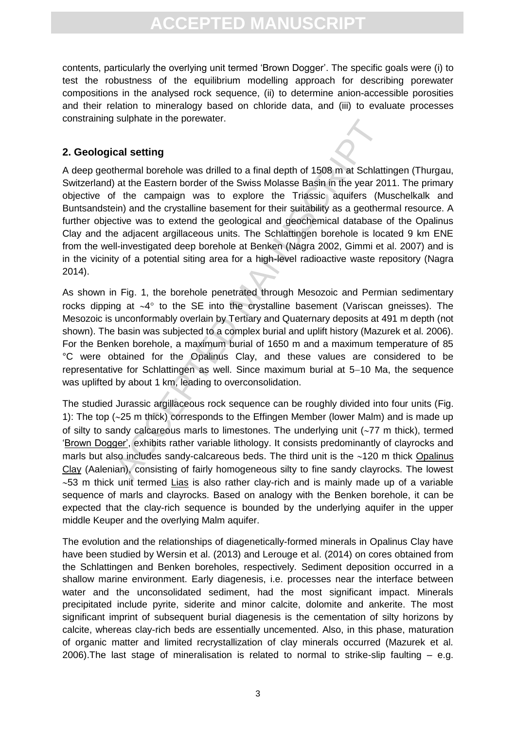contents, particularly the overlying unit termed "Brown Dogger". The specific goals were (i) to test the robustness of the equilibrium modelling approach for describing porewater compositions in the analysed rock sequence, (ii) to determine anion-accessible porosities and their relation to mineralogy based on chloride data, and (iii) to evaluate processes constraining sulphate in the porewater.

### **2. Geological setting**

suppriate in the potewater.<br>
cal setting<br>
cal setting<br>
at the Eastern border of the Swiss Molasse Basin in the year 20<br>
at the Eastern border of the Swiss Molasse Basin in the year 20<br>
f the campaign was to explore the Tr A deep geothermal borehole was drilled to a final depth of 1508 m at Schlattingen (Thurgau, Switzerland) at the Eastern border of the Swiss Molasse Basin in the year 2011. The primary objective of the campaign was to explore the Triassic aquifers (Muschelkalk and Buntsandstein) and the crystalline basement for their suitability as a geothermal resource. A further objective was to extend the geological and geochemical database of the Opalinus Clay and the adjacent argillaceous units. The Schlattingen borehole is located 9 km ENE from the well-investigated deep borehole at Benken (Nagra 2002, Gimmi et al. 2007) and is in the vicinity of a potential siting area for a high-level radioactive waste repository (Nagra 2014).

As shown in Fig. 1, the borehole penetrated through Mesozoic and Permian sedimentary rocks dipping at  $\sim$ 4 $\degree$  to the SE into the crystalline basement (Variscan gneisses). The Mesozoic is unconformably overlain by Tertiary and Quaternary deposits at 491 m depth (not shown). The basin was subjected to a complex burial and uplift history (Mazurek et al. 2006). For the Benken borehole, a maximum burial of 1650 m and a maximum temperature of 85 °C were obtained for the Opalinus Clay, and these values are considered to be representative for Schlattingen as well. Since maximum burial at 5-10 Ma, the sequence was uplifted by about 1 km, leading to overconsolidation.

The studied Jurassic argillaceous rock sequence can be roughly divided into four units [\(Fig.](#page-7-0)  [1\)](#page-7-0): The top (25 m thick) corresponds to the Effingen Member (lower Malm) and is made up of silty to sandy calcareous marls to limestones. The underlying unit  $(-77 \text{ m}$  thick), termed "Brown Dogger", exhibits rather variable lithology. It consists predominantly of clayrocks and marls but also includes sandy-calcareous beds. The third unit is the  $~120$  m thick Opalinus Clay (Aalenian), consisting of fairly homogeneous silty to fine sandy clayrocks. The lowest  $\sim$  53 m thick unit termed Lias is also rather clav-rich and is mainly made up of a variable sequence of marls and clayrocks. Based on analogy with the Benken borehole, it can be expected that the clay-rich sequence is bounded by the underlying aquifer in the upper middle Keuper and the overlying Malm aquifer.

The evolution and the relationships of diagenetically-formed minerals in Opalinus Clay have have been studied by Wersin et al. (2013) and Lerouge et al. (2014) on cores obtained from the Schlattingen and Benken boreholes, respectively. Sediment deposition occurred in a shallow marine environment. Early diagenesis, i.e. processes near the interface between water and the unconsolidated sediment, had the most significant impact. Minerals precipitated include pyrite, siderite and minor calcite, dolomite and ankerite. The most significant imprint of subsequent burial diagenesis is the cementation of silty horizons by calcite, whereas clay-rich beds are essentially uncemented. Also, in this phase, maturation of organic matter and limited recrystallization of clay minerals occurred (Mazurek et al. 2006).The last stage of mineralisation is related to normal to strike-slip faulting – e.g.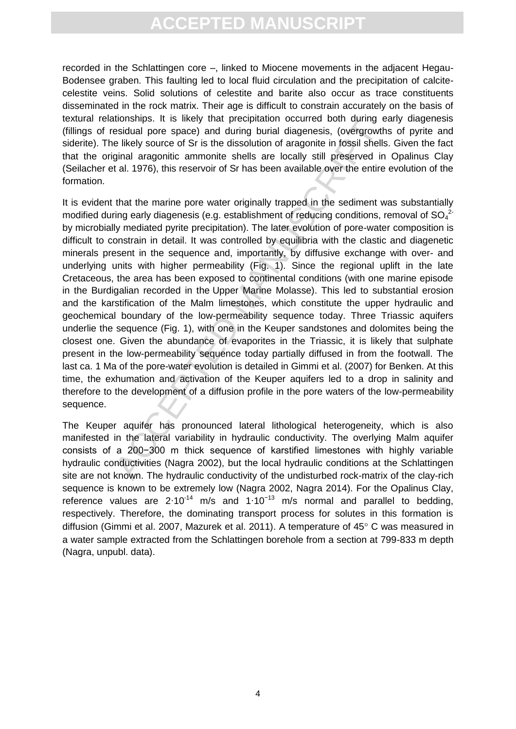recorded in the Schlattingen core –, linked to Miocene movements in the adjacent Hegau-Bodensee graben. This faulting led to local fluid circulation and the precipitation of calcitecelestite veins. Solid solutions of celestite and barite also occur as trace constituents disseminated in the rock matrix. Their age is difficult to constrain accurately on the basis of textural relationships. It is likely that precipitation occurred both during early diagenesis (fillings of residual pore space) and during burial diagenesis, (overgrowths of pyrite and siderite). The likely source of Sr is the dissolution of aragonite in fossil shells. Given the fact that the original aragonitic ammonite shells are locally still preserved in Opalinus Clay (Seilacher et al. 1976), this reservoir of Sr has been available over the entire evolution of the formation.

insians. It is interpreting to determine the polonical bond diarely and production of the likely source of Sr is the dissolution of aragonite in fossil shells ginal aragonitic ammonite shells are locally still preserved in It is evident that the marine pore water originally trapped in the sediment was substantially modified during early diagenesis (e.g. establishment of reducing conditions, removal of SO<sub>4</sub><sup>2</sup> by microbially mediated pyrite precipitation). The later evolution of pore-water composition is difficult to constrain in detail. It was controlled by equilibria with the clastic and diagenetic minerals present in the sequence and, importantly, by diffusive exchange with over- and underlying units with higher permeability (Fig. 1). Since the regional uplift in the late Cretaceous, the area has been exposed to continental conditions (with one marine episode in the Burdigalian recorded in the Upper Marine Molasse). This led to substantial erosion and the karstification of the Malm limestones, which constitute the upper hydraulic and geochemical boundary of the low-permeability sequence today. Three Triassic aquifers underlie the sequence (Fig. 1), with one in the Keuper sandstones and dolomites being the closest one. Given the abundance of evaporites in the Triassic, it is likely that sulphate present in the low-permeability sequence today partially diffused in from the footwall. The last ca. 1 Ma of the pore-water evolution is detailed in Gimmi et al. (2007) for Benken. At this time, the exhumation and activation of the Keuper aquifers led to a drop in salinity and therefore to the development of a diffusion profile in the pore waters of the low-permeability sequence.

The Keuper aquifer has pronounced lateral lithological heterogeneity, which is also manifested in the lateral variability in hydraulic conductivity. The overlying Malm aquifer consists of a 200−300 m thick sequence of karstified limestones with highly variable hydraulic conductivities (Nagra 2002), but the local hydraulic conditions at the Schlattingen site are not known. The hydraulic conductivity of the undisturbed rock-matrix of the clay-rich sequence is known to be extremely low (Nagra 2002, Nagra 2014). For the Opalinus Clay, reference values are 2⋅10<sup>-14</sup> m/s and 1⋅10<sup>-13</sup> m/s normal and parallel to bedding, respectively. Therefore, the dominating transport process for solutes in this formation is diffusion (Gimmi et al. 2007, Mazurek et al. 2011). A temperature of  $45^{\circ}$  C was measured in a water sample extracted from the Schlattingen borehole from a section at 799-833 m depth (Nagra, unpubl. data).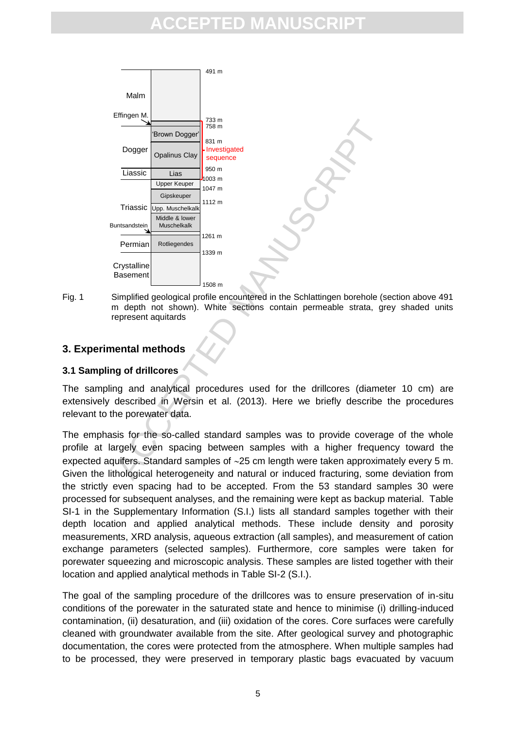### **EPTED MANUS**



<span id="page-7-0"></span>Fig. 1 Simplified geological profile encountered in the Schlattingen borehole (section above 491 m depth not shown). White sections contain permeable strata, grey shaded units represent aquitards

### **3. Experimental methods**

#### **3.1 Sampling of drillcores**

The sampling and analytical procedures used for the drillcores (diameter 10 cm) are extensively described in Wersin et al. (2013). Here we briefly describe the procedures relevant to the porewater data.

The emphasis for the so-called standard samples was to provide coverage of the whole profile at largely even spacing between samples with a higher frequency toward the expected aquifers. Standard samples of  $\sim$ 25 cm length were taken approximately every 5 m. Given the lithological heterogeneity and natural or induced fracturing, some deviation from the strictly even spacing had to be accepted. From the 53 standard samples 30 were processed for subsequent analyses, and the remaining were kept as backup material. Table SI-1 in the Supplementary Information (S.I.) lists all standard samples together with their depth location and applied analytical methods. These include density and porosity measurements, XRD analysis, aqueous extraction (all samples), and measurement of cation exchange parameters (selected samples). Furthermore, core samples were taken for porewater squeezing and microscopic analysis. These samples are listed together with their location and applied analytical methods in Table SI-2 (S.I.).

The goal of the sampling procedure of the drillcores was to ensure preservation of in-situ conditions of the porewater in the saturated state and hence to minimise (i) drilling-induced contamination, (ii) desaturation, and (iii) oxidation of the cores. Core surfaces were carefully cleaned with groundwater available from the site. After geological survey and photographic documentation, the cores were protected from the atmosphere. When multiple samples had to be processed, they were preserved in temporary plastic bags evacuated by vacuum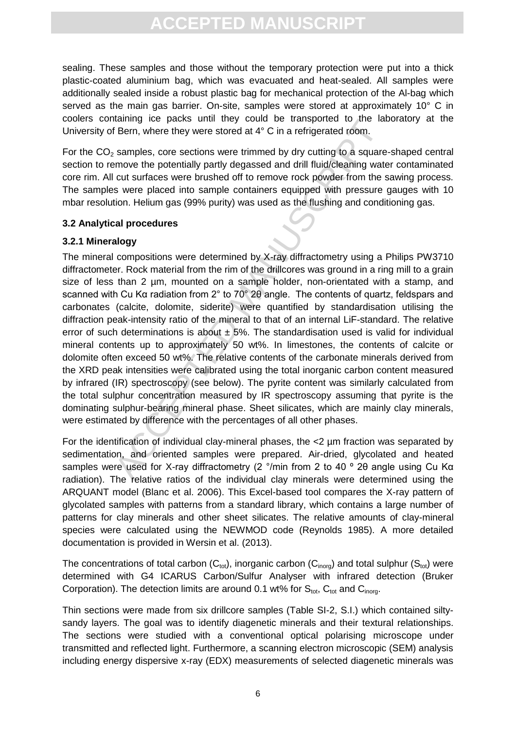sealing. These samples and those without the temporary protection were put into a thick plastic-coated aluminium bag, which was evacuated and heat-sealed. All samples were additionally sealed inside a robust plastic bag for mechanical protection of the Al-bag which served as the main gas barrier. On-site, samples were stored at approximately 10° C in coolers containing ice packs until they could be transported to the laboratory at the University of Bern, where they were stored at 4° C in a refrigerated room.

For the  $CO<sub>2</sub>$  samples, core sections were trimmed by dry cutting to a square-shaped central section to remove the potentially partly degassed and drill fluid/cleaning water contaminated core rim. All cut surfaces were brushed off to remove rock powder from the sawing process. The samples were placed into sample containers equipped with pressure gauges with 10 mbar resolution. Helium gas (99% purity) was used as the flushing and conditioning gas.

#### **3.2 Analytical procedures**

### **3.2.1 Mineralogy**

Infining the packs until they colub be transported to the land<br>Herm, where they were stored at 4°C in a refrigerated room.<br>
Samples, core sections were timmed by dry cutting to a square<br>
samples, core sections were timmed The mineral compositions were determined by X-ray diffractometry using a Philips PW3710 diffractometer. Rock material from the rim of the drillcores was ground in a ring mill to a grain size of less than 2 um, mounted on a sample holder, non-orientated with a stamp, and scanned with Cu Kα radiation from 2° to 70° 2θ angle. The contents of quartz, feldspars and carbonates (calcite, dolomite, siderite) were quantified by standardisation utilising the diffraction peak-intensity ratio of the mineral to that of an internal LiF-standard. The relative error of such determinations is about  $\pm$  5%. The standardisation used is valid for individual mineral contents up to approximately 50 wt%. In limestones, the contents of calcite or dolomite often exceed 50 wt%. The relative contents of the carbonate minerals derived from the XRD peak intensities were calibrated using the total inorganic carbon content measured by infrared (IR) spectroscopy (see below). The pyrite content was similarly calculated from the total sulphur concentration measured by IR spectroscopy assuming that pyrite is the dominating sulphur-bearing mineral phase. Sheet silicates, which are mainly clay minerals, were estimated by difference with the percentages of all other phases.

For the identification of individual clay-mineral phases, the  $\leq$  2 um fraction was separated by sedimentation, and oriented samples were prepared. Air-dried, glycolated and heated samples were used for X-ray diffractometry (2 °/min from 2 to 40 º 2θ angle using Cu Kα radiation). The relative ratios of the individual clay minerals were determined using the ARQUANT model (Blanc et al. 2006). This Excel-based tool compares the X-ray pattern of glycolated samples with patterns from a standard library, which contains a large number of patterns for clay minerals and other sheet silicates. The relative amounts of clay-mineral species were calculated using the NEWMOD code (Reynolds 1985). A more detailed documentation is provided in Wersin et al. (2013).

The concentrations of total carbon  $(C_{\text{tot}})$ , inorganic carbon  $(C_{\text{inorg}})$  and total sulphur  $(S_{\text{tot}})$  were determined with G4 ICARUS Carbon/Sulfur Analyser with infrared detection (Bruker Corporation). The detection limits are around 0.1 wt% for  $S_{\text{tot}}$ ,  $C_{\text{tot}}$  and  $C_{\text{inorg}}$ .

Thin sections were made from six drillcore samples (Table SI-2, S.I.) which contained siltysandy layers. The goal was to identify diagenetic minerals and their textural relationships. The sections were studied with a conventional optical polarising microscope under transmitted and reflected light. Furthermore, a scanning electron microscopic (SEM) analysis including energy dispersive x-ray (EDX) measurements of selected diagenetic minerals was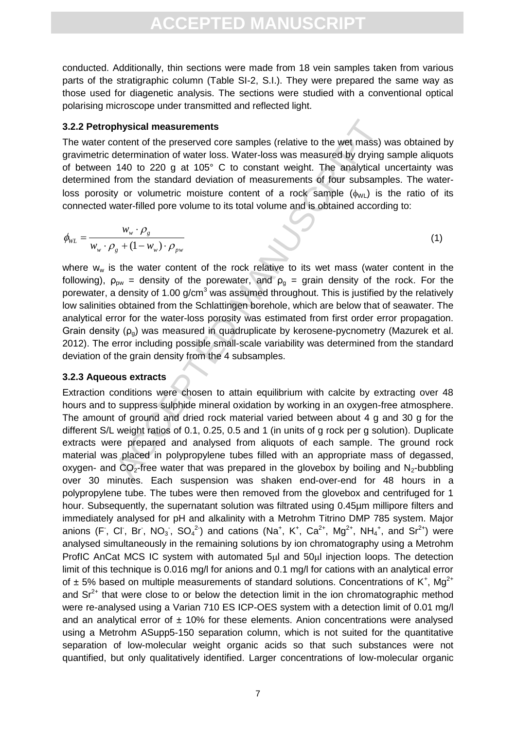conducted. Additionally, thin sections were made from 18 vein samples taken from various parts of the stratigraphic column (Table SI-2, S.I.). They were prepared the same way as those used for diagenetic analysis. The sections were studied with a conventional optical polarising microscope under transmitted and reflected light.

#### **3.2.2 Petrophysical measurements**

The water content of the preserved core samples (relative to the wet mass) was obtained by gravimetric determination of water loss. Water-loss was measured by drying sample aliquots of between 140 to 220 g at 105° C to constant weight. The analytical uncertainty was determined from the standard deviation of measurements of four subsamples. The waterloss porosity or volumetric moisture content of a rock sample  $(\phi_{WL})$  is the ratio of its connected water-filled pore volume to its total volume and is obtained according to:

$$
\phi_{WL} = \frac{W_w \cdot \rho_g}{W_w \cdot \rho_g + (1 - W_w) \cdot \rho_{pw}}\tag{1}
$$

**blysical measurements**<br>
ontent of the preserved core samples (relative to the wet mass)<br>
ontent of the transformation of water loss. Water-loss was measured by drying<br>
140 to 220 g at 105° C to constant weight. The analy where  $w_w$  is the water content of the rock relative to its wet mass (water content in the following),  $\rho_{\text{ow}}$  = density of the porewater, and  $\rho_{\text{g}}$  = grain density of the rock. For the porewater, a density of 1.00  $q/cm<sup>3</sup>$  was assumed throughout. This is justified by the relatively low salinities obtained from the Schlattingen borehole, which are below that of seawater. The analytical error for the water-loss porosity was estimated from first order error propagation. Grain density ( $\rho_0$ ) was measured in quadruplicate by kerosene-pycnometry (Mazurek et al. 2012). The error including possible small-scale variability was determined from the standard deviation of the grain density from the 4 subsamples.

#### **3.2.3 Aqueous extracts**

Extraction conditions were chosen to attain equilibrium with calcite by extracting over 48 hours and to suppress sulphide mineral oxidation by working in an oxygen-free atmosphere. The amount of ground and dried rock material varied between about 4 g and 30 g for the different S/L weight ratios of 0.1, 0.25, 0.5 and 1 (in units of g rock per g solution). Duplicate extracts were prepared and analysed from aliquots of each sample. The ground rock material was placed in polypropylene tubes filled with an appropriate mass of degassed, oxygen- and  $CO_2$ -free water that was prepared in the glovebox by boiling and N<sub>2</sub>-bubbling over 30 minutes. Each suspension was shaken end-over-end for 48 hours in a polypropylene tube. The tubes were then removed from the glovebox and centrifuged for 1 hour. Subsequently, the supernatant solution was filtrated using 0.45µm millipore filters and immediately analysed for pH and alkalinity with a Metrohm Titrino DMP 785 system. Major anions (F, Cl, Br, NO<sub>3</sub>, SO<sub>4</sub><sup>2</sup>) and cations (Na<sup>+</sup>, K<sup>+</sup>, Ca<sup>2+</sup>, Mg<sup>2+</sup>, NH<sub>4</sub><sup>+</sup>, and Sr<sup>2+</sup>) were analysed simultaneously in the remaining solutions by ion chromatography using a Metrohm ProfIC AnCat MCS IC system with automated 5ul and 50ul injection loops. The detection limit of this technique is 0.016 mg/l for anions and 0.1 mg/l for cations with an analytical error of  $\pm$  5% based on multiple measurements of standard solutions. Concentrations of K<sup>+</sup>, Mg<sup>2+</sup> and  $\text{Sr}^{2+}$  that were close to or below the detection limit in the ion chromatographic method were re-analysed using a Varian 710 ES ICP-OES system with a detection limit of 0.01 mg/l and an analytical error of  $\pm$  10% for these elements. Anion concentrations were analysed using a Metrohm ASupp5-150 separation column, which is not suited for the quantitative separation of low-molecular weight organic acids so that such substances were not quantified, but only qualitatively identified. Larger concentrations of low-molecular organic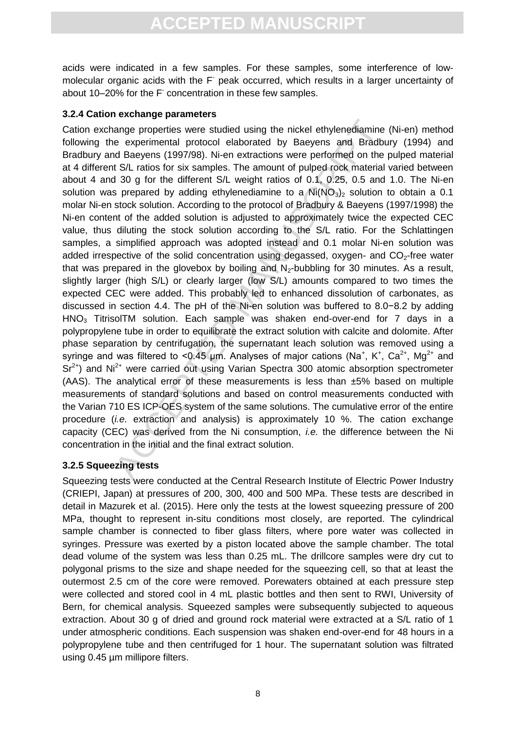acids were indicated in a few samples. For these samples, some interference of lowmolecular organic acids with the F peak occurred, which results in a larger uncertainty of about 10-20% for the F concentration in these few samples.

#### **3.2.4 Cation exchange parameters**

ange properties were studied using the nickel ethylenediamine<br>e experimental protocol elaborated by Baeyens and Bradbu<br>d Baeyens (1997/98). Ni-en extractions were performed on the<br>samples. The amount of pulged rook materi Cation exchange properties were studied using the nickel ethylenediamine (Ni-en) method following the experimental protocol elaborated by Baeyens and Bradbury (1994) and Bradbury and Baeyens (1997/98). Ni-en extractions were performed on the pulped material at 4 different S/L ratios for six samples. The amount of pulped rock material varied between about 4 and 30 g for the different S/L weight ratios of 0.1, 0.25, 0.5 and 1.0. The Ni-en solution was prepared by adding ethylenediamine to a  $Ni(NO<sub>3</sub>)<sub>2</sub>$  solution to obtain a 0.1 molar Ni-en stock solution. According to the protocol of Bradbury & Baeyens (1997/1998) the Ni-en content of the added solution is adjusted to approximately twice the expected CEC value, thus diluting the stock solution according to the S/L ratio. For the Schlattingen samples, a simplified approach was adopted instead and 0.1 molar Ni-en solution was added irrespective of the solid concentration using degassed, oxygen- and  $CO<sub>2</sub>$ -free water that was prepared in the glovebox by boiling and  $N_2$ -bubbling for 30 minutes. As a result, slightly larger (high S/L) or clearly larger (low S/L) amounts compared to two times the expected CEC were added. This probably led to enhanced dissolution of carbonates, as discussed in section 4.4. The pH of the Ni-en solution was buffered to 8.0−8.2 by adding HNO<sub>3</sub> TitrisolTM solution. Each sample was shaken end-over-end for 7 days in a polypropylene tube in order to equilibrate the extract solution with calcite and dolomite. After phase separation by centrifugation, the supernatant leach solution was removed using a syringe and was filtered to <0.45 µm. Analyses of major cations (Na<sup>+</sup>, K<sup>+</sup>, Ca<sup>2+</sup>, Mg<sup>2+</sup> and  $Sr<sup>2+</sup>$ ) and Ni<sup>2+</sup> were carried out using Varian Spectra 300 atomic absorption spectrometer (AAS). The analytical error of these measurements is less than  $\pm 5\%$  based on multiple measurements of standard solutions and based on control measurements conducted with the Varian 710 ES ICP-OES system of the same solutions. The cumulative error of the entire procedure (*i.e.* extraction and analysis) is approximately 10 %. The cation exchange capacity (CEC) was derived from the Ni consumption, *i.e.* the difference between the Ni concentration in the initial and the final extract solution.

### **3.2.5 Squeezing tests**

Squeezing tests were conducted at the Central Research Institute of Electric Power Industry (CRIEPI, Japan) at pressures of 200, 300, 400 and 500 MPa. These tests are described in detail in Mazurek et al. (2015). Here only the tests at the lowest squeezing pressure of 200 MPa, thought to represent in-situ conditions most closely, are reported. The cylindrical sample chamber is connected to fiber glass filters, where pore water was collected in syringes. Pressure was exerted by a piston located above the sample chamber. The total dead volume of the system was less than 0.25 mL. The drillcore samples were dry cut to polygonal prisms to the size and shape needed for the squeezing cell, so that at least the outermost 2.5 cm of the core were removed. Porewaters obtained at each pressure step were collected and stored cool in 4 mL plastic bottles and then sent to RWI, University of Bern, for chemical analysis. Squeezed samples were subsequently subjected to aqueous extraction. About 30 g of dried and ground rock material were extracted at a S/L ratio of 1 under atmospheric conditions. Each suspension was shaken end-over-end for 48 hours in a polypropylene tube and then centrifuged for 1 hour. The supernatant solution was filtrated using 0.45 µm millipore filters.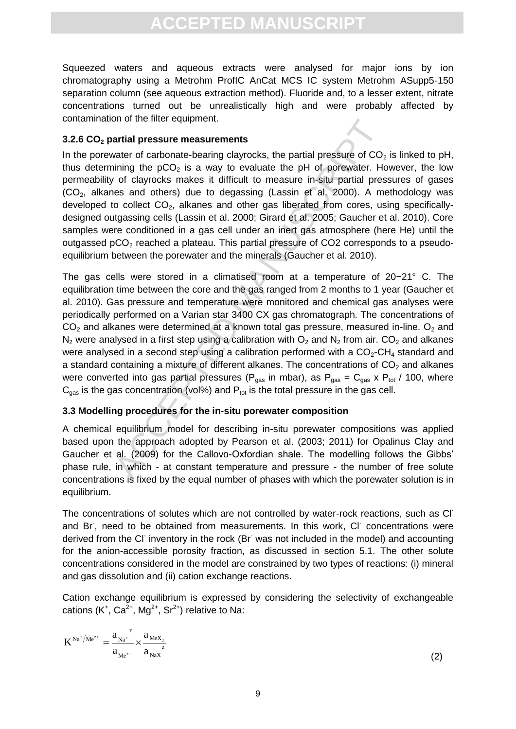Squeezed waters and aqueous extracts were analysed for major ions by ion chromatography using a Metrohm ProfIC AnCat MCS IC system Metrohm ASupp5-150 separation column (see aqueous extraction method). Fluoride and, to a lesser extent, nitrate concentrations turned out be unrealistically high and were probably affected by contamination of the filter equipment.

#### **3.2.6 CO<sup>2</sup> partial pressure measurements**

In the porewater of carbonate-bearing clayrocks, the partial pressure of  $CO<sub>2</sub>$  is linked to pH, thus determining the  $pCO<sub>2</sub>$  is a way to evaluate the pH of porewater. However, the low permeability of clayrocks makes it difficult to measure in-situ partial pressures of gases  $(CO<sub>2</sub>)$ , alkanes and others) due to degassing (Lassin et al. 2000). A methodology was developed to collect  $CO<sub>2</sub>$ , alkanes and other gas liberated from cores, using specificallydesigned outgassing cells (Lassin et al. 2000; Girard et al. 2005; Gaucher et al. 2010). Core samples were conditioned in a gas cell under an inert gas atmosphere (here He) until the outgassed pCO<sup>2</sup> reached a plateau. This partial pressure of CO2 corresponds to a pseudoequilibrium between the porewater and the minerals (Gaucher et al. 2010).

and pressure measurements<br>and pressure measurements<br>and pressure of cabonate-bearing clayrooks, the partial pressure of CO<sub>2</sub><br>infining the pCO<sub>2</sub> is a way to vealuate the pH of porewater. Ho<br>or of clayrocks makes it diffi The gas cells were stored in a climatised room at a temperature of 20−21° C. The equilibration time between the core and the gas ranged from 2 months to 1 year (Gaucher et al. 2010). Gas pressure and temperature were monitored and chemical gas analyses were periodically performed on a Varian star 3400 CX gas chromatograph. The concentrations of  $CO<sub>2</sub>$  and alkanes were determined at a known total gas pressure, measured in-line.  $O<sub>2</sub>$  and  $N_2$  were analysed in a first step using a calibration with  $O_2$  and  $N_2$  from air. CO<sub>2</sub> and alkanes were analysed in a second step using a calibration performed with a  $CO<sub>2</sub>-CH<sub>4</sub>$  standard and a standard containing a mixture of different alkanes. The concentrations of  $CO<sub>2</sub>$  and alkanes were converted into gas partial pressures ( $P_{gas}$  in mbar), as  $P_{gas} = C_{gas} \times P_{tot}$  / 100, where  $C<sub>gas</sub>$  is the gas concentration (vol%) and  $P<sub>tot</sub>$  is the total pressure in the gas cell.

### **3.3 Modelling procedures for the in-situ porewater composition**

A chemical equilibrium model for describing in-situ porewater compositions was applied based upon the approach adopted by Pearson et al. (2003; 2011) for Opalinus Clay and Gaucher et al. (2009) for the Callovo-Oxfordian shale. The modelling follows the Gibbs" phase rule, in which - at constant temperature and pressure - the number of free solute concentrations is fixed by the equal number of phases with which the porewater solution is in equilibrium.

The concentrations of solutes which are not controlled by water-rock reactions, such as Cland Br, need to be obtained from measurements. In this work, CI concentrations were derived from the CI inventory in the rock (Br was not included in the model) and accounting for the anion-accessible porosity fraction, as discussed in section 5.1. The other solute concentrations considered in the model are constrained by two types of reactions: (i) mineral and gas dissolution and (ii) cation exchange reactions.

Cation exchange equilibrium is expressed by considering the selectivity of exchangeable cations (K<sup>+</sup>, Ca<sup>2+</sup>, Mg<sup>2+</sup>, Sr<sup>2+</sup>) relative to Na:

$$
K^{Na^{+}/Me^{z^{+}}} = \frac{a_{Na^{+}}^{2}}{a_{Me^{z^{+}}}} \times \frac{a_{MeX_{z}}^{2}}{a_{NaX}^{2}}
$$
(2)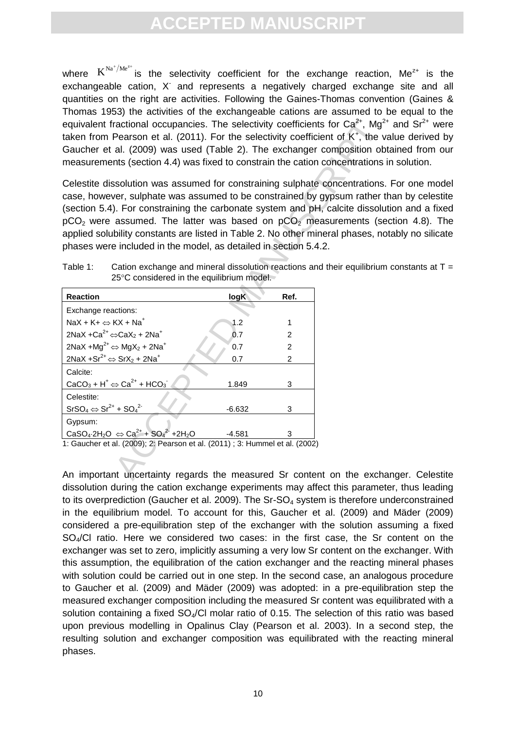where  $K^{Na^{+}/Me^{z^{+}}}$  is the selectivity coefficient for the exchange reaction, Me<sup>z+</sup> is the exchangeable cation, X<sup>-</sup> and represents a negatively charged exchange site and all quantities on the right are activities. Following the Gaines-Thomas convention (Gaines & Thomas 1953) the activities of the exchangeable cations are assumed to be equal to the equivalent fractional occupancies. The selectivity coefficients for  $Ca^{2+}$ , Mg<sup>2+</sup> and Sr<sup>2+</sup> were taken from Pearson et al. (2011). For the selectivity coefficient of  $K^+$ , the value derived by Gaucher et al. (2009) was used (Table 2). The exchanger composition obtained from our measurements (section 4.4) was fixed to constrain the cation concentrations in solution.

Celestite dissolution was assumed for constraining sulphate concentrations. For one model case, however, sulphate was assumed to be constrained by gypsum rather than by celestite (section 5.4). For constraining the carbonate system and pH, calcite dissolution and a fixed  $pCO<sub>2</sub>$  were assumed. The latter was based on  $pCO<sub>2</sub>$  measurements (section 4.8). The applied solubility constants are listed in Table 2. No other mineral phases, notably no silicate phases were included in the model, as detailed in section 5.4.2.

Table 1: Cation exchange and mineral dissolution reactions and their equilibrium constants at  $T =$ 25°C considered in the equilibrium model.

|                                                 | equivalent fractional occupancies. The selectivity coefficients for $Ca^{2+}$ , Mg <sup>2</sup><br>taken from Pearson et al. (2011). For the selectivity coefficient of $K^+$ , the v<br>Gaucher et al. (2009) was used (Table 2). The exchanger composition ob<br>measurements (section 4.4) was fixed to constrain the cation concentrations                                                                                                                         |          |                         |  |
|-------------------------------------------------|------------------------------------------------------------------------------------------------------------------------------------------------------------------------------------------------------------------------------------------------------------------------------------------------------------------------------------------------------------------------------------------------------------------------------------------------------------------------|----------|-------------------------|--|
|                                                 | Celestite dissolution was assumed for constraining sulphate concentrations.<br>case, however, sulphate was assumed to be constrained by gypsum rather t<br>(section 5.4). For constraining the carbonate system and pH, calcite dissolu<br>$pCO2$ were assumed. The latter was based on $pCO2$ measurements (se<br>applied solubility constants are listed in Table 2. No other mineral phases, no<br>phases were included in the model, as detailed in section 5.4.2. |          |                         |  |
| Table 1:                                        | Cation exchange and mineral dissolution reactions and their equilibrium<br>25°C considered in the equilibrium model.                                                                                                                                                                                                                                                                                                                                                   |          |                         |  |
| <b>Reaction</b>                                 |                                                                                                                                                                                                                                                                                                                                                                                                                                                                        | logK     | Ref.                    |  |
| Exchange reactions:                             |                                                                                                                                                                                                                                                                                                                                                                                                                                                                        |          |                         |  |
| NaX + K+ $\Leftrightarrow$ KX + Na <sup>+</sup> |                                                                                                                                                                                                                                                                                                                                                                                                                                                                        | 1.2      | 1                       |  |
|                                                 | 2NaX +Ca <sup>2+</sup> $\Leftrightarrow$ CaX <sub>2</sub> + 2Na <sup>+</sup>                                                                                                                                                                                                                                                                                                                                                                                           | 0.7      | $\overline{2}$          |  |
|                                                 | 2NaX + Mg <sup>2+</sup> $\Leftrightarrow$ MgX <sub>2</sub> + 2Na <sup>+</sup>                                                                                                                                                                                                                                                                                                                                                                                          | 0.7      | 2                       |  |
|                                                 | $2\text{NaX} + \text{Sr}^{2+} \Leftrightarrow \text{SrX}_2 + 2\text{Na}^+$                                                                                                                                                                                                                                                                                                                                                                                             | 0.7      | $\overline{\mathbf{c}}$ |  |
| Calcite:                                        |                                                                                                                                                                                                                                                                                                                                                                                                                                                                        |          |                         |  |
|                                                 | $CaCO3 + H+ \Leftrightarrow Ca2+ + HCO3$                                                                                                                                                                                                                                                                                                                                                                                                                               | 1.849    | 3                       |  |
| Celestite:                                      |                                                                                                                                                                                                                                                                                                                                                                                                                                                                        |          |                         |  |
|                                                 |                                                                                                                                                                                                                                                                                                                                                                                                                                                                        | $-6.632$ | 3                       |  |
| $SrSO4 \Leftrightarrow Sr2+ + SO42-$            |                                                                                                                                                                                                                                                                                                                                                                                                                                                                        |          |                         |  |
| Gypsum:                                         |                                                                                                                                                                                                                                                                                                                                                                                                                                                                        |          |                         |  |
|                                                 | $CaSO_4.2H_2O \Leftrightarrow Ca^{2+} + SO_4^{2+} + 2H_2O$<br>1: Gaucher et al. (2009); 2: Pearson et al. (2011) ; 3: Hummel et al. (2002)                                                                                                                                                                                                                                                                                                                             | $-4.581$ |                         |  |

An important uncertainty regards the measured Sr content on the exchanger. Celestite dissolution during the cation exchange experiments may affect this parameter, thus leading to its overprediction (Gaucher et al. 2009). The  $Sr-SO<sub>4</sub>$  system is therefore underconstrained in the equilibrium model. To account for this, Gaucher et al. (2009) and Mäder (2009) considered a pre-equilibration step of the exchanger with the solution assuming a fixed SO4/Cl ratio. Here we considered two cases: in the first case, the Sr content on the exchanger was set to zero, implicitly assuming a very low Sr content on the exchanger. With this assumption, the equilibration of the cation exchanger and the reacting mineral phases with solution could be carried out in one step. In the second case, an analogous procedure to Gaucher et al. (2009) and Mäder (2009) was adopted: in a pre-equilibration step the measured exchanger composition including the measured Sr content was equilibrated with a solution containing a fixed  $SO_4/CI$  molar ratio of 0.15. The selection of this ratio was based upon previous modelling in Opalinus Clay (Pearson et al. 2003). In a second step, the resulting solution and exchanger composition was equilibrated with the reacting mineral phases.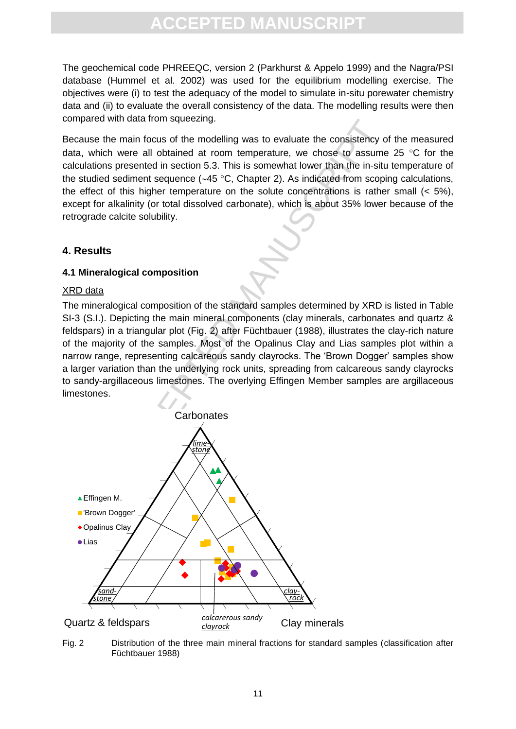The geochemical code PHREEQC, version 2 (Parkhurst & Appelo 1999) and the Nagra/PSI database (Hummel et al. 2002) was used for the equilibrium modelling exercise. The objectives were (i) to test the adequacy of the model to simulate in-situ porewater chemistry data and (ii) to evaluate the overall consistency of the data. The modelling results were then compared with data from squeezing.

Because the main focus of the modelling was to evaluate the consistency of the measured data, which were all obtained at room temperature, we chose to assume 25  $\degree$ C for the calculations presented in section 5.3. This is somewhat lower than the in-situ temperature of the studied sediment sequence ( $\sim$ 45 °C, Chapter 2). As indicated from scoping calculations, the effect of this higher temperature on the solute concentrations is rather small  $(< 5\%)$ , except for alkalinity (or total dissolved carbonate), which is about 35% lower because of the retrograde calcite solubility.

### **4. Results**

#### **4.1 Mineralogical composition**

#### XRD data

The diamonistic metalling was to evaluate the consistency of main focus of the modelling was to evaluate the consistency were all obtained at room temperature, we chose to assume presented in section 5.3. This is somewhat The mineralogical composition of the standard samples determined by XRD is listed in Table SI-3 (S.I.). Depicting the main mineral components (clay minerals, carbonates and quartz & feldspars) in a triangular plot (Fig. 2) after Füchtbauer (1988), illustrates the clay-rich nature of the majority of the samples. Most of the Opalinus Clay and Lias samples plot within a narrow range, representing calcareous sandy clayrocks. The "Brown Dogger" samples show a larger variation than the underlying rock units, spreading from calcareous sandy clayrocks to sandy-argillaceous limestones. The overlying Effingen Member samples are argillaceous limestones.



<span id="page-13-0"></span>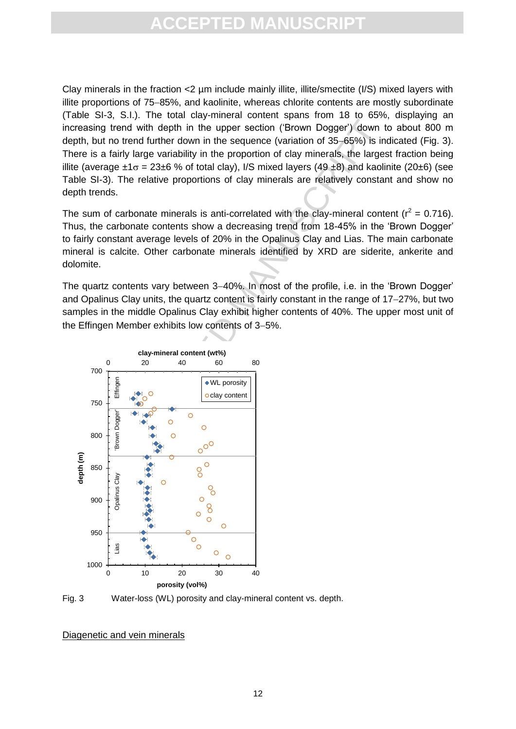From the upper section (Brown Dogger) down to trend with depth in the upper section (Brown Dogger) down to trend further down in the sequence (variation of 35–65%) is in a correlated with the proportion of clay minerals, Clay minerals in the fraction <2 µm include mainly illite, illite/smectite (I/S) mixed layers with illite proportions of 75–85%, and kaolinite, whereas chlorite contents are mostly subordinate (Table SI-3, S.I.). The total clay-mineral content spans from 18 to 65%, displaying an increasing trend with depth in the upper section ('Brown Dogger') down to about 800 m depth, but no trend further down in the sequence (variation of  $35-65%$ ) is indicated [\(Fig. 3\)](#page-14-0). There is a fairly large variability in the proportion of clay minerals, the largest fraction being illite (average  $\pm 1\sigma = 23\pm 6$  % of total clay), I/S mixed layers (49  $\pm 8$ ) and kaolinite (20 $\pm 6$ ) (see Table SI-3). The relative proportions of clay minerals are relatively constant and show no depth trends.

The sum of carbonate minerals is anti-correlated with the clay-mineral content ( $r^2 = 0.716$ ). Thus, the carbonate contents show a decreasing trend from 18-45% in the "Brown Dogger" to fairly constant average levels of 20% in the Opalinus Clay and Lias. The main carbonate mineral is calcite. Other carbonate minerals identified by XRD are siderite, ankerite and dolomite.

The quartz contents vary between 3–40%. In most of the profile, i.e. in the 'Brown Dogger' and Opalinus Clay units, the quartz content is fairly constant in the range of  $17-27%$ , but two samples in the middle Opalinus Clay exhibit higher contents of 40%. The upper most unit of the Effingen Member exhibits low contents of 3-5%.



<span id="page-14-0"></span>

#### Diagenetic and vein minerals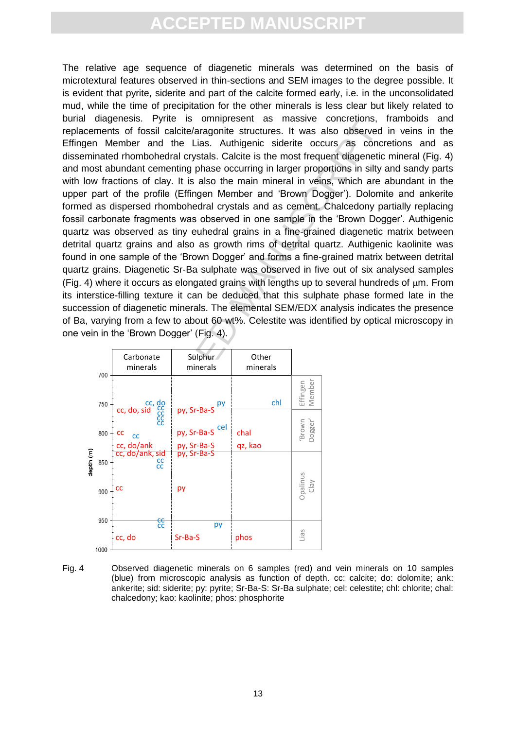Erissis. Pyine is our<br>
action of originalisating as massive conciencies,<br>
ts of fossil calcite/aragonite structures. It was also observed<br>
ember and the Lias. Authigenic siderite occurs as concerned<br>
curvation of day. It The relative age sequence of diagenetic minerals was determined on the basis of microtextural features observed in thin-sections and SEM images to the degree possible. It is evident that pyrite, siderite and part of the calcite formed early, i.e. in the unconsolidated mud, while the time of precipitation for the other minerals is less clear but likely related to burial diagenesis. Pyrite is omnipresent as massive concretions, framboids and replacements of fossil calcite/aragonite structures. It was also observed in veins in the Effingen Member and the Lias. Authigenic siderite occurs as concretions and as disseminated rhombohedral crystals. Calcite is the most frequent diagenetic mineral (Fig. 4) and most abundant cementing phase occurring in larger proportions in silty and sandy parts with low fractions of clay. It is also the main mineral in veins, which are abundant in the upper part of the profile (Effingen Member and "Brown Dogger"). Dolomite and ankerite formed as dispersed rhombohedral crystals and as cement. Chalcedony partially replacing fossil carbonate fragments was observed in one sample in the 'Brown Dogger'. Authigenic quartz was observed as tiny euhedral grains in a fine-grained diagenetic matrix between detrital quartz grains and also as growth rims of detrital quartz. Authigenic kaolinite was found in one sample of the 'Brown Dogger' and forms a fine-grained matrix between detrital quartz grains. Diagenetic Sr-Ba sulphate was observed in five out of six analysed samples [\(Fig. 4\)](#page-15-0) where it occurs as elongated grains with lengths up to several hundreds of  $\mu$ m. From its interstice-filling texture it can be deduced that this sulphate phase formed late in the succession of diagenetic minerals. The elemental SEM/EDX analysis indicates the presence of Ba, varying from a few to about 60 wt%. Celestite was identified by optical microscopy in one vein in the 'Brown Dogger' (Fig. 4).



<span id="page-15-0"></span>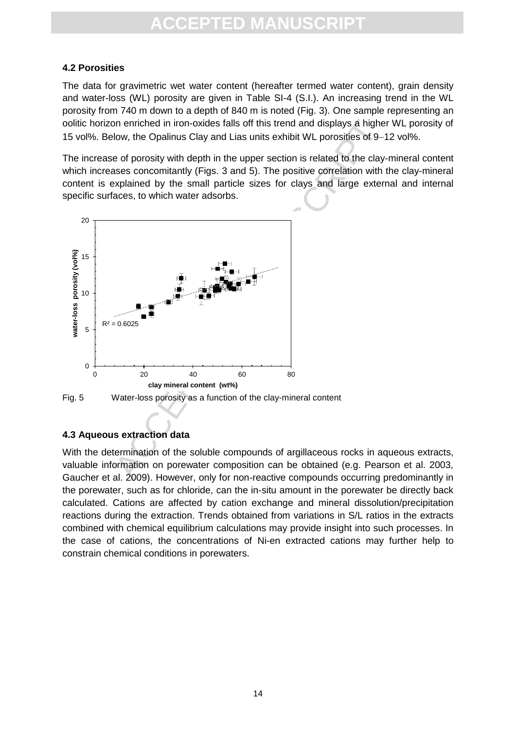### **4.2 Porosities**

The data for gravimetric wet water content (hereafter termed water content), grain density and water-loss (WL) porosity are given in Table SI-4 (S.I.). An increasing trend in the WL porosity from 740 m down to a depth of 840 m is noted [\(Fig. 3\)](#page-14-0). One sample representing an oolitic horizon enriched in iron-oxides falls off this trend and displays a higher WL porosity of 15 vol%. Below, the Opalinus Clay and Lias units exhibit WL porosities of 9-12 vol%.

The increase of porosity with depth in the upper section is related to the clay-mineral content which increases concomitantly (Figs. 3 and 5). The positive correlation with the clay-mineral content is explained by the small particle sizes for clays and large external and internal specific surfaces, to which water adsorbs.



Fig. 5 Water-loss porosity as a function of the clay-mineral content

### **4.3 Aqueous extraction data**

With the determination of the soluble compounds of argillaceous rocks in aqueous extracts, valuable information on porewater composition can be obtained (e.g. Pearson et al. 2003, Gaucher et al. 2009). However, only for non-reactive compounds occurring predominantly in the porewater, such as for chloride, can the in-situ amount in the porewater be directly back calculated. Cations are affected by cation exchange and mineral dissolution/precipitation reactions during the extraction. Trends obtained from variations in S/L ratios in the extracts combined with chemical equilibrium calculations may provide insight into such processes. In the case of cations, the concentrations of Ni-en extracted cations may further help to constrain chemical conditions in porewaters.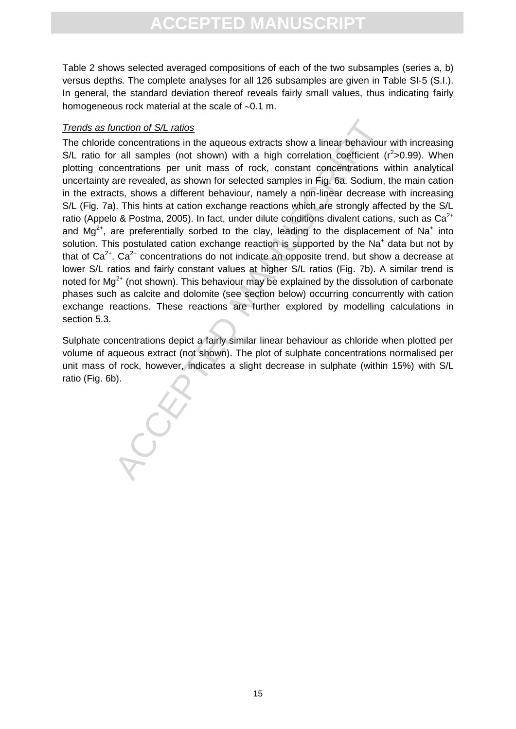Table 2 shows selected averaged compositions of each of the two subsamples (series a, b) versus depths. The complete analyses for all 126 subsamples are given in Table SI-5 (S.I.). In general, the standard deviation thereof reveals fairly small values, thus indicating fairly homogeneous rock material at the scale of  $\sim 0.1$  m.

#### *Trends as function of S/L ratios*

**nnction of S/L ratios**<br>
and concentrations in the aqueous extracts show a linear behaviour<br>
r all samples (not shown) with a high correlation coefficient (<br>
certrations per unit mass of rock, constant concentrations of<br> The chloride concentrations in the aqueous extracts show a linear behaviour with increasing S/L ratio for all samples (not shown) with a high correlation coefficient ( $r^2 > 0.99$ ). When plotting concentrations per unit mass of rock, constant concentrations within analytical uncertainty are revealed, as shown for selected samples in Fig. 6a. Sodium, the main cation in the extracts, shows a different behaviour, namely a non-linear decrease with increasing S/L [\(Fig. 7a](#page-19-1)). This hints at cation exchange reactions which are strongly affected by the S/L ratio (Appelo & Postma, 2005). In fact, under dilute conditions divalent cations, such as  $Ca^{2+}$ and Mg<sup>2+</sup>, are preferentially sorbed to the clay, leading to the displacement of Na<sup>+</sup> into solution. This postulated cation exchange reaction is supported by the Na<sup>+</sup> data but not by that of  $Ca^{2+}$ .  $Ca^{2+}$  concentrations do not indicate an opposite trend, but show a decrease at lower S/L ratios and fairly constant values at higher S/L ratios (Fig. 7b). A similar trend is noted for  $Mg^{2+}$  (not shown). This behaviour may be explained by the dissolution of carbonate phases such as calcite and dolomite (see section below) occurring concurrently with cation exchange reactions. These reactions are further explored by modelling calculations in section 5.3.

Sulphate concentrations depict a fairly similar linear behaviour as chloride when plotted per volume of aqueous extract (not shown). The plot of sulphate concentrations normalised per unit mass of rock, however, indicates a slight decrease in sulphate (within 15%) with S/L ratio [\(Fig. 6b](#page-19-0)).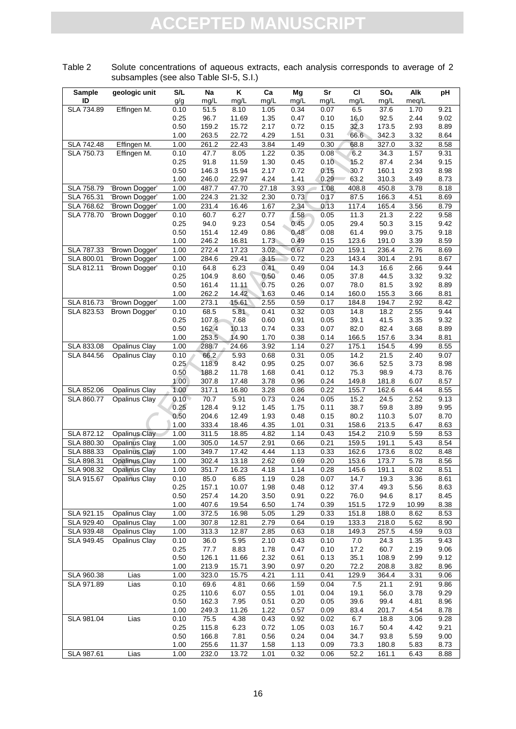Table 2 Solute concentrations of aqueous extracts, each analysis corresponds to average of 2 subsamples (see also Table SI-5, S.I.)

| Sample                   | geologic unit                                | S/L               | Na             | Κ                  | Ca           | Mg           | Sr           | <b>CI</b>      | SO <sub>4</sub> | Alk          | pH           |
|--------------------------|----------------------------------------------|-------------------|----------------|--------------------|--------------|--------------|--------------|----------------|-----------------|--------------|--------------|
| ID                       |                                              | g/g               | mg/L           | mg/L               | mg/L         | mg/L         | mg/L         | mg/L           | mg/L            | meq/L        |              |
| SLA 734.89               | Effingen M.                                  | 0.10              | 51.5           | 8.10               | 1.05         | 0.34         | 0.07         | 6.5            | 37.6            | 1.70         | 9.21         |
|                          |                                              | 0.25              | 96.7           | 11.69              | 1.35         | 0.47         | 0.10         | 16.0           | 92.5            | 2.44         | 9.02         |
|                          |                                              | 0.50              | 159.2          | 15.72<br>22.72     | 2.17         | 0.72         | 0.15         | 32.3<br>66.6   | 173.5           | 2.93         | 8.89         |
| SLA 742.48               | Effingen M.                                  | 1.00<br>1.00      | 263.5<br>261.2 | 22.43              | 4.29<br>3.84 | 1.51<br>1.49 | 0.31<br>0.30 | 68.8           | 342.3<br>327.0  | 3.32<br>3.32 | 8.64<br>8.58 |
| SLA 750.73               | Effingen M.                                  | 0.10              | 47.7           | 8.05               | 1.22         | 0.35         | 0.08         | 6.2            | 34.3            | 1.57         | 9.31         |
|                          |                                              | 0.25              | 91.8           | 11.59              | 1.30         | 0.45         | 0.10         | 15.2           | 87.4            | 2.34         | 9.15         |
|                          |                                              | 0.50              | 146.3          | 15.94              | 2.17         | 0.72         | 0.15         | 30.7           | 160.1           | 2.93         | 8.98         |
|                          |                                              | 1.00              | 246.0          | 22.97              | 4.24         | 1.41         | 0.29         | 63.2           | 310.3           | 3.49         | 8.73         |
| SLA 758.79               | 'Brown Dogger'                               | 1.00              | 487.7          | 47.70              | 27.18        | 3.93         | 1.08         | 408.8          | 450.8           | 3.78         | 8.18         |
| SLA 765.31               | 'Brown Dogger'                               | 1.00              | 224.3          | 21.32              | 2.30         | 0.73         | 0.17         | 87.5           | 166.3           | 4.51         | 8.69         |
| SLA 768.62               | 'Brown Dogger'                               | 1.00              | 231.4          | 16.46              | 1.67         | 2.34         | 0.13         | 117.4          | 165.4           | 3.56         | 8.79         |
| SLA 778.70               | 'Brown Dogger'                               | 0.10              | 60.7           | 6.27               | 0.77         | 1.58         | 0.05         | 11.3           | 21.3            | 2.22         | 9.58         |
|                          |                                              | 0.25              | 94.0           | 9.23               | 0.54         | 0.45         | 0.05         | 29.4           | 50.3            | 3.15         | 9.42         |
|                          |                                              | 0.50              | 151.4          | 12.49              | 0.86         | 0.48         | 0.08         | 61.4           | 99.0            | 3.75         | 9.18         |
| SLA 787.33               | 'Brown Dogger'                               | 1.00<br>1.00      | 246.2<br>272.4 | 16.81<br>17.23     | 1.73<br>3.02 | 0.49<br>0.67 | 0.15<br>0.20 | 123.6<br>159.1 | 191.0<br>236.4  | 3.39<br>2.76 | 8.59<br>8.69 |
| SLA 800.01               | 'Brown Dogger'                               | 1.00              | 284.6          | 29.41              | 3.15         | 0.72         | 0.23         | 143.4          | 301.4           | 2.91         | 8.67         |
| SLA 812.11               | 'Brown Dogger'                               | 0.10              | 64.8           | 6.23               | 0.41         | 0.49         | 0.04         | 14.3           | 16.6            | 2.66         | 9.44         |
|                          |                                              | 0.25              | 104.9          | 8.60               | 0.50         | 0.46         | 0.05         | 37.8           | 44.5            | 3.32         | 9.32         |
|                          |                                              | 0.50              | 161.4          | 11.11              | 0.75         | 0.26         | 0.07         | 78.0           | 81.5            | 3.92         | 8.89         |
|                          |                                              | 1.00              | 262.2          | 14.42              | 1.63         | 0.46         | 0.14         | 160.0          | 155.3           | 3.66         | 8.81         |
| SLA 816.73               | 'Brown Dogger'                               | 1.00              | 273.1          | 15.61              | 2.55         | 0.59         | 0.17         | 184.8          | 194.7           | 2.92         | 8.42         |
| SLA 823.53               | Brown Dogger'                                | 0.10              | 68.5           | 5.81               | 0.41         | 0.32         | 0.03         | 14.8           | 18.2            | 2.55         | 9.44         |
|                          |                                              | 0.25              | 107.8          | 7.68               | 0.60         | 0.91         | 0.05         | 39.1           | 41.5            | 3.35         | 9.32         |
|                          |                                              | 0.50              | 162.4          | 10.13              | 0.74         | 0.33         | 0.07         | 82.0           | 82.4            | 3.68         | 8.89         |
|                          |                                              | 1.00              | 253.5          | 14.90              | 1.70         | 0.38         | 0.14         | 166.5          | 157.6           | 3.34         | 8.81         |
| SLA 833.08               | Opalinus Clay                                | 1.00              | 288.7<br>66.2  | 24.66              | 3.92         | 1.14<br>0.31 | 0.27         | 175.1<br>14.2  | 154.5<br>21.5   | 4.99         | 8.55         |
| SLA 844.56               | Opalinus Clay                                | 0.10<br>0.25      | 118.9          | 5.93<br>8.42       | 0.68<br>0.95 | 0.25         | 0.05<br>0.07 | 36.6           | 52.5            | 2.40<br>3.73 | 9.07<br>8.98 |
|                          |                                              | 0.50              | 188.2          | 11.78              | 1.68         | 0.41         | 0.12         | 75.3           | 98.9            | 4.73         | 8.76         |
|                          |                                              | 1.00              | 307.8          | 17.48              | 3.78         | 0.96         | 0.24         | 149.8          | 181.8           | 6.07         | 8.57         |
| SLA 852.06               | Opalinus Clay                                | 1.00              | 317.1          | 16.80              | 3.28         | 0.86         | 0.22         | 155.7          | 162.6           | 6.44         | 8.55         |
| SLA 860.77               | Opalinus Clay                                | $0.10 -$          | 70.7           | 5.91               | 0.73         | 0.24         | 0.05         | 15.2           | 24.5            | 2.52         | 9.13         |
|                          |                                              | 0.25              | 128.4          | 9.12               | 1.45         | 1.75         | 0.11         | 38.7           | 59.8            | 3.89         | 9.95         |
|                          |                                              | 0.50              | 204.6          | 12.49              | 1.93         | 0.48         | 0.15         | 80.2           | 110.3           | 5.07         | 8.70         |
|                          |                                              | 1.00              | 333.4          | 18.46              | 4.35         | 1.01         | 0.31         | 158.6          | 213.5           | 6.47         | 8.63         |
| SLA 872.12<br>SLA 880.30 | <b>Opalinus Clay</b><br><b>Opalinus Clay</b> | 1.00<br>1.00      | 311.5<br>305.0 | 18.85<br>14.57     | 4.82<br>2.91 | 1.14<br>0.66 | 0.43<br>0.21 | 154.2<br>159.5 | 210.9<br>191.1  | 5.59<br>5.43 | 8.53<br>8.54 |
| SLA 888.33               | <b>Opalinus Clay</b>                         | 1.00              | 349.7          | 17.42              | 4.44         | 1.13         | 0.33         | 162.6          | 173.6           | 8.02         | 8.48         |
| SLA 898.31               | <b>Opalinus Clay</b>                         | 1.00              | 302.4          | 13.18              | 2.62         | 0.69         | 0.20         | 153.6          | 173.7           | 5.78         | 8.56         |
| SLA 908.32               | <b>Opalinus Clay</b>                         | $\overline{1.00}$ | 351.7          | $16.\overline{23}$ | 4.18         | 1.14         | 0.28         | 145.6          | 191.1           | 8.02         | 8.51         |
| SLA 915.67               | <b>Opalinus Clay</b>                         | 0.10              | 85.0           | 6.85               | 1.19         | 0.28         | 0.07         | 14.7           | 19.3            | 3.36         | 8.61         |
|                          |                                              | 0.25              | 157.1          | 10.07              | 1.98         | 0.48         | 0.12         | 37.4           | 49.3            | 5.56         | 8.63         |
|                          |                                              | 0.50              | 257.4          | 14.20              | 3.50         | 0.91         | 0.22         | 76.0           | 94.6            | 8.17         | 8.45         |
|                          |                                              | 1.00              | 407.6          | 19.54              | 6.50         | 1.74         | 0.39         | 151.5          | 172.9           | 10.99        | 8.38         |
| SLA 921.15               | Opalinus Clay                                | 1.00              | 372.5          | 16.98              | 5.05         | 1.29         | 0.33         | 151.8          | 188.0           | 8.62         | 8.53         |
| SLA 929.40               | Opalinus Clay                                | 1.00              | 307.8          | 12.81              | 2.79         | 0.64         | 0.19         | 133.3          | 218.0           | 5.62         | 8.90         |
| SLA 939.48               | Opalinus Clay                                | 1.00              | 313.3          | 12.87              | 2.85         | 0.63         | 0.18         | 149.3          | 257.5           | 4.59         | 9.03         |
| SLA 949.45               | Opalinus Clay                                | 0.10<br>0.25      | 36.0<br>77.7   | 5.95<br>8.83       | 2.10<br>1.78 | 0.43<br>0.47 | 0.10<br>0.10 | 7.0<br>17.2    | 24.3<br>60.7    | 1.35<br>2.19 | 9.43<br>9.06 |
|                          |                                              | 0.50              | 126.1          | 11.66              | 2.32         | 0.61         | 0.13         | 35.1           | 108.9           | 2.99         | 9.12         |
|                          |                                              | 1.00              | 213.9          | 15.71              | 3.90         | 0.97         | 0.20         | 72.2           | 208.8           | 3.82         | 8.96         |
| SLA 960.38               | Lias                                         | 1.00              | 323.0          | 15.75              | 4.21         | 1.11         | 0.41         | 129.9          | 364.4           | 3.31         | 9.06         |
| SLA 971.89               | Lias                                         | 0.10              | 69.6           | 4.81               | 0.66         | 1.59         | 0.04         | $7.5\,$        | 21.1            | 2.91         | 9.86         |
|                          |                                              | 0.25              | 110.6          | 6.07               | 0.55         | 1.01         | 0.04         | 19.1           | 56.0            | 3.78         | 9.29         |
|                          |                                              | 0.50              | 162.3          | 7.95               | 0.51         | 0.20         | 0.05         | 39.6           | 99.4            | 4.81         | 8.96         |
|                          |                                              | 1.00              | 249.3          | 11.26              | 1.22         | 0.57         | 0.09         | 83.4           | 201.7           | 4.54         | 8.78         |
| SLA 981.04               | Lias                                         | 0.10              | 75.5           | 4.38               | 0.43         | 0.92         | 0.02         | 6.7            | 18.8            | 3.06         | 9.28         |
|                          |                                              | 0.25              | 115.8          | 6.23               | 0.72         | 1.05         | 0.03         | 16.7           | $50.4\,$        | 4.42         | 9.21         |
|                          |                                              | 0.50<br>1.00      | 166.8<br>255.6 | 7.81<br>11.37      | 0.56<br>1.58 | 0.24<br>1.13 | 0.04<br>0.09 | 34.7<br>73.3   | 93.8<br>180.8   | 5.59<br>5.83 | 9.00<br>8.73 |
| SLA 987.61               | Lias                                         | $\overline{1.00}$ | 232.0          | 13.72              | 1.01         | 0.32         | 0.06         | 52.2           | 161.1           | 6.43         | 8.88         |
|                          |                                              |                   |                |                    |              |              |              |                |                 |              |              |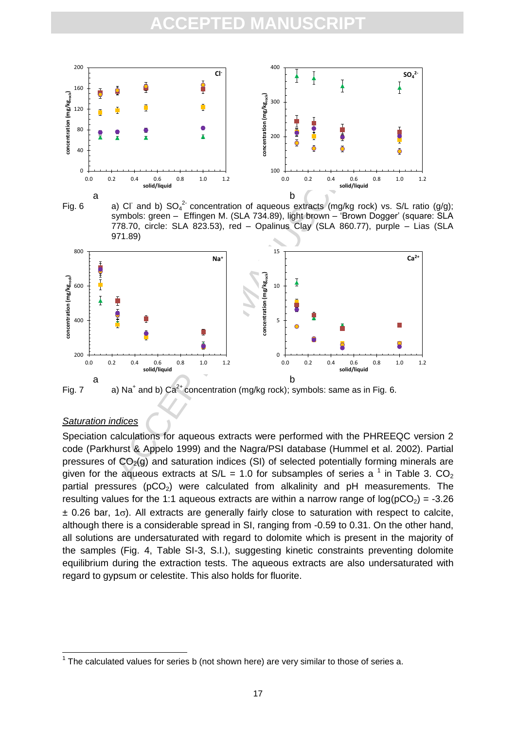### **EPTED MANU**



<span id="page-19-0"></span>



<span id="page-19-1"></span>Fig. 7 a) Na<sup>+</sup> and b)  $Ca^{2+}$  concentration (mg/kg rock); symbols: same as in Fig. 6.

#### *Saturation indices*

Speciation calculations for aqueous extracts were performed with the PHREEQC version 2 code (Parkhurst & Appelo 1999) and the Nagra/PSI database (Hummel et al. 2002). Partial pressures of  $CO<sub>2</sub>(g)$  and saturation indices (SI) of selected potentially forming minerals are given for the aqueous extracts at S/L = 1.0 for subsamples of series a <sup>1</sup> in [Table 3.](#page-20-0)  $CO<sub>2</sub>$ partial pressures ( $pCO<sub>2</sub>$ ) were calculated from alkalinity and  $pH$  measurements. The resulting values for the 1:1 aqueous extracts are within a narrow range of  $log(pCO<sub>2</sub>) = -3.26$  $\pm$  0.26 bar, 1 $\sigma$ ). All extracts are generally fairly close to saturation with respect to calcite, although there is a considerable spread in SI, ranging from -0.59 to 0.31. On the other hand, all solutions are undersaturated with regard to dolomite which is present in the majority of the samples (Fig. 4, Table SI-3, S.I.), suggesting kinetic constraints preventing dolomite equilibrium during the extraction tests. The aqueous extracts are also undersaturated with regard to gypsum or celestite. This also holds for fluorite.

<sup>-</sup> $1$  The calculated values for series b (not shown here) are very similar to those of series a.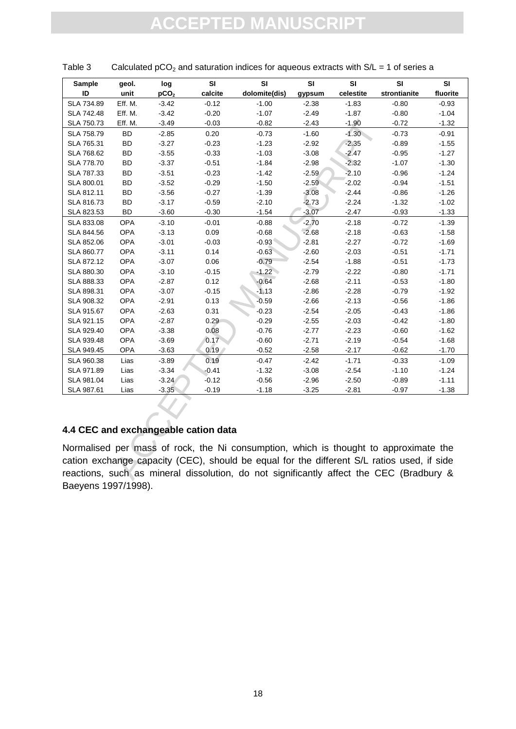| Sample     | geol.      | log                                  | SI      | SI                                                                                         | SI      | SI        | SI           | SI       |
|------------|------------|--------------------------------------|---------|--------------------------------------------------------------------------------------------|---------|-----------|--------------|----------|
| ID         | unit       | pCO <sub>2</sub>                     | calcite | dolomite(dis)                                                                              | gypsum  | celestite | strontianite | fluorite |
| SLA 734.89 | Eff. M.    | $-3.42$                              | $-0.12$ | $-1.00$                                                                                    | $-2.38$ | $-1.83$   | $-0.80$      | $-0.93$  |
| SLA 742.48 | Eff. M.    | $-3.42$                              | $-0.20$ | $-1.07$                                                                                    | $-2.49$ | $-1.87$   | $-0.80$      | $-1.04$  |
| SLA 750.73 | Eff. M.    | $-3.49$                              | $-0.03$ | $-0.82$                                                                                    | $-2.43$ | $-1.90$   | $-0.72$      | $-1.32$  |
| SLA 758.79 | <b>BD</b>  | $-2.85$                              | 0.20    | $-0.73$                                                                                    | $-1.60$ | $-1.30$   | $-0.73$      | $-0.91$  |
| SLA 765.31 | <b>BD</b>  | $-3.27$                              | $-0.23$ | $-1.23$                                                                                    | $-2.92$ | $-2.35$   | $-0.89$      | $-1.55$  |
| SLA 768.62 | <b>BD</b>  | $-3.55$                              | $-0.33$ | $-1.03$                                                                                    | $-3.08$ | $-2.47$   | $-0.95$      | $-1.27$  |
| SLA 778.70 | <b>BD</b>  | $-3.37$                              | $-0.51$ | $-1.84$                                                                                    | $-2.98$ | $-2.32$   | $-1.07$      | $-1.30$  |
| SLA 787.33 | <b>BD</b>  | $-3.51$                              | $-0.23$ | $-1.42$                                                                                    | $-2.59$ | $-2.10$   | $-0.96$      | $-1.24$  |
| SLA 800.01 | <b>BD</b>  | $-3.52$                              | $-0.29$ | $-1.50$                                                                                    | $-2.59$ | $-2.02$   | $-0.94$      | $-1.51$  |
| SLA 812.11 | <b>BD</b>  | $-3.56$                              | $-0.27$ | $-1.39$                                                                                    | $-3.08$ | $-2.44$   | $-0.86$      | $-1.26$  |
| SLA 816.73 | <b>BD</b>  | $-3.17$                              | $-0.59$ | $-2.10$                                                                                    | $-2.73$ | $-2.24$   | $-1.32$      | $-1.02$  |
| SLA 823.53 | <b>BD</b>  | $-3.60$                              | $-0.30$ | $-1.54$                                                                                    | $-3.07$ | $-2.47$   | $-0.93$      | $-1.33$  |
| SLA 833.08 | <b>OPA</b> | $-3.10$                              | $-0.01$ | $-0.88$                                                                                    | $-2.70$ | $-2.18$   | $-0.72$      | $-1.39$  |
| SLA 844.56 | <b>OPA</b> | $-3.13$                              | 0.09    | $-0.68$                                                                                    | $-2.68$ | $-2.18$   | $-0.63$      | $-1.58$  |
| SLA 852.06 | OPA        | $-3.01$                              | $-0.03$ | $-0.93$                                                                                    | $-2.81$ | $-2.27$   | $-0.72$      | $-1.69$  |
| SLA 860.77 | <b>OPA</b> | $-3.11$                              | 0.14    | $-0.63$                                                                                    | $-2.60$ | $-2.03$   | $-0.51$      | $-1.71$  |
| SLA 872.12 | <b>OPA</b> | $-3.07$                              | 0.06    | $-0.79$                                                                                    | $-2.54$ | $-1.88$   | $-0.51$      | $-1.73$  |
| SLA 880.30 | <b>OPA</b> | $-3.10$                              | $-0.15$ | $-1.22$                                                                                    | $-2.79$ | $-2.22$   | $-0.80$      | $-1.71$  |
| SLA 888.33 | <b>OPA</b> | $-2.87$                              | 0.12    | $-0.64$                                                                                    | $-2.68$ | $-2.11$   | $-0.53$      | $-1.80$  |
| SLA 898.31 | OPA        | $-3.07$                              | $-0.15$ | $-1,13$                                                                                    | $-2.86$ | $-2.28$   | $-0.79$      | $-1.92$  |
| SLA 908.32 | <b>OPA</b> | $-2.91$                              | 0.13    | $-0.59$                                                                                    | $-2.66$ | $-2.13$   | $-0.56$      | $-1.86$  |
| SLA 915.67 | <b>OPA</b> | $-2.63$                              | 0.31    | $-0.23$                                                                                    | $-2.54$ | $-2.05$   | $-0.43$      | $-1.86$  |
| SLA 921.15 | <b>OPA</b> | $-2.87$                              | 0.29    | $-0.29$                                                                                    | $-2.55$ | $-2.03$   | $-0.42$      | $-1.80$  |
| SLA 929.40 | <b>OPA</b> | $-3.38$                              | 0.08    | $-0.76$                                                                                    | $-2.77$ | $-2.23$   | $-0.60$      | $-1.62$  |
| SLA 939.48 | <b>OPA</b> | $-3.69$                              | 0.17    | $-0.60$                                                                                    | $-2.71$ | $-2.19$   | $-0.54$      | $-1.68$  |
| SLA 949.45 | <b>OPA</b> | $-3.63$                              | 0.19    | $-0.52$                                                                                    | $-2.58$ | $-2.17$   | $-0.62$      | $-1.70$  |
| SLA 960.38 | Lias       | $-3.89$                              | 0.19    | $-0.47$                                                                                    | $-2.42$ | $-1.71$   | $-0.33$      | $-1.09$  |
| SLA 971.89 | Lias       | $-3.34$                              | $-0.41$ | $-1.32$                                                                                    | $-3.08$ | $-2.54$   | $-1.10$      | $-1.24$  |
| SLA 981.04 | Lias       | $-3.24$                              | $-0.12$ | $-0.56$                                                                                    | $-2.96$ | $-2.50$   | $-0.89$      | $-1.11$  |
| SLA 987.61 | Lias       | $-3.35$                              | $-0.19$ | $-1.18$                                                                                    | $-3.25$ | $-2.81$   | $-0.97$      | $-1.38$  |
|            |            |                                      |         |                                                                                            |         |           |              |          |
|            |            |                                      |         |                                                                                            |         |           |              |          |
|            |            | 4.4 CEC and exchangeable cation data |         |                                                                                            |         |           |              |          |
|            |            |                                      |         | Normalised per mass of rock, the Ni consumption, which is thought to approximate the       |         |           |              |          |
|            |            |                                      |         | cation exchange capacity (CEC), should be equal for the different S/L ratios used, if side |         |           |              |          |
|            |            |                                      |         |                                                                                            |         |           |              |          |
|            |            |                                      |         | reactions, such as mineral dissolution, do not significantly affect the CEC (Bradbury &    |         |           |              |          |

<span id="page-20-0"></span>

| Table 3 | Calculated $pCO2$ and saturation indices for aqueous extracts with $S/L = 1$ of series a |
|---------|------------------------------------------------------------------------------------------|
|         |                                                                                          |

### **4.4 CEC and exchangeable cation data**

Normalised per mass of rock, the Ni consumption, which is thought to approximate the cation exchange capacity (CEC), should be equal for the different S/L ratios used, if side reactions, such as mineral dissolution, do not significantly affect the CEC (Bradbury & Baeyens 1997/1998).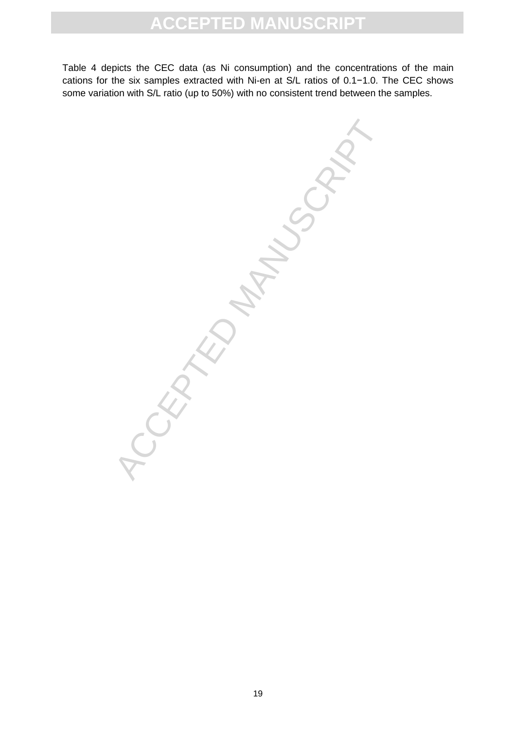<span id="page-21-0"></span>Table 4 depicts the CEC data (as Ni consumption) and the concentrations of the main cations for the six samples extracted with Ni-en at S/L ratios of 0.1−1.0. The CEC shows some variation with S/L ratio (up to 50%) with no consistent trend between the samples.

ACCEPTED MANUSCRIPT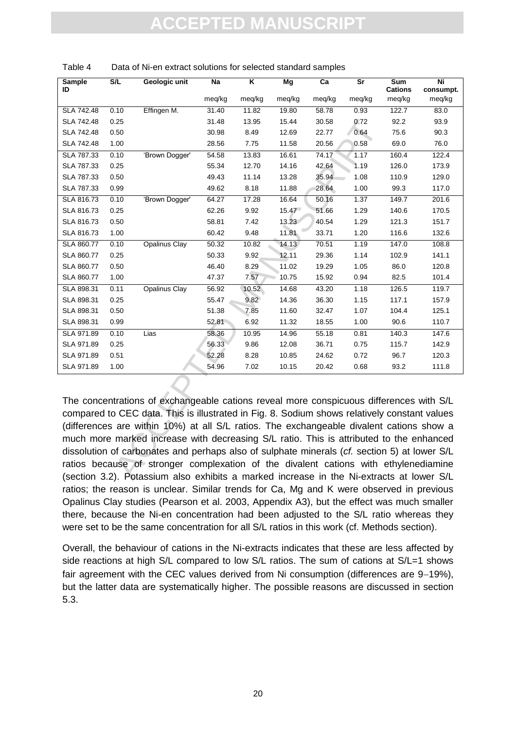| <b>Sample</b><br>ID | S/L  | Geologic unit                                                                                | Na     | $\overline{\mathsf{K}}$ | Mg     | $\overline{ca}$ | $\overline{\text{sr}}$ | <b>Sum</b><br><b>Cations</b> | Ni<br>consumpt. |
|---------------------|------|----------------------------------------------------------------------------------------------|--------|-------------------------|--------|-----------------|------------------------|------------------------------|-----------------|
|                     |      |                                                                                              | meq/kg | meq/kg                  | meg/kg | meq/kg          | meg/kg                 | meq/kg                       | meq/kg          |
| SLA 742.48          | 0.10 | Effingen M.                                                                                  | 31.40  | 11.82                   | 19.80  | 58.78           | 0.93                   | 122.7                        | 83.0            |
| SLA 742.48          | 0.25 |                                                                                              | 31.48  | 13.95                   | 15.44  | 30.58           | 0.72                   | 92.2                         | 93.9            |
| SLA 742.48          | 0.50 |                                                                                              | 30.98  | 8.49                    | 12.69  | 22.77           | 0.64                   | 75.6                         | 90.3            |
| SLA 742.48          | 1.00 |                                                                                              | 28.56  | 7.75                    | 11.58  | 20.56           | 0.58                   | 69.0                         | 76.0            |
| SLA 787.33          | 0.10 | 'Brown Dogger'                                                                               | 54.58  | 13.83                   | 16.61  | 74.17           | 1.17                   | 160.4                        | 122.4           |
| SLA 787.33          | 0.25 |                                                                                              | 55.34  | 12.70                   | 14.16  | 42.64           | 1.19                   | 126.0                        | 173.9           |
| SLA 787.33          | 0.50 |                                                                                              | 49.43  | 11.14                   | 13.28  | 35.94           | 1.08                   | 110.9                        | 129.0           |
| SLA 787.33          | 0.99 |                                                                                              | 49.62  | 8.18                    | 11.88  | 28.64           | 1.00                   | 99.3                         | 117.0           |
| SLA 816.73          | 0.10 | 'Brown Dogger'                                                                               | 64.27  | 17.28                   | 16.64  | 50.16           | 1.37                   | 149.7                        | 201.6           |
| SLA 816.73          | 0.25 |                                                                                              | 62.26  | 9.92                    | 15.47  | 51.66           | 1.29                   | 140.6                        | 170.5           |
| SLA 816.73          | 0.50 |                                                                                              | 58.81  | 7.42                    | 13.23  | 40.54           | 1.29                   | 121.3                        | 151.7           |
| SLA 816.73          | 1.00 |                                                                                              | 60.42  | 9.48                    | 11.81  | 33.71           | 1.20                   | 116.6                        | 132.6           |
| SLA 860.77          | 0.10 | Opalinus Clay                                                                                | 50.32  | 10.82                   | 14.13  | 70.51           | 1.19                   | 147.0                        | 108.8           |
| SLA 860.77          | 0.25 |                                                                                              | 50.33  | 9.92                    | 12.11  | 29.36           | 1.14                   | 102.9                        | 141.1           |
| SLA 860.77          | 0.50 |                                                                                              | 46.40  | 8.29                    | 11.02  | 19.29           | 1.05                   | 86.0                         | 120.8           |
| SLA 860.77          | 1.00 |                                                                                              | 47.37  | 7.57                    | 10.75  | 15.92           | 0.94                   | 82.5                         | 101.4           |
| SLA 898.31          | 0.11 | <b>Opalinus Clay</b>                                                                         | 56.92  | 10.52                   | 14.68  | 43.20           | 1.18                   | 126.5                        | 119.7           |
| SLA 898.31          | 0.25 |                                                                                              | 55.47  | 9.82                    | 14.36  | 36.30           | 1.15                   | 117.1                        | 157.9           |
| SLA 898.31          | 0.50 |                                                                                              | 51.38  | 7.85                    | 11.60  | 32.47           | 1.07                   | 104.4                        | 125.1           |
| SLA 898.31          | 0.99 |                                                                                              | 52.81  | 6.92                    | 11.32  | 18.55           | 1.00                   | 90.6                         | 110.7           |
| SLA 971.89          | 0.10 | Lias                                                                                         | 58.36  | 10.95                   | 14.96  | 55.18           | 0.81                   | 140.3                        | 147.6           |
| SLA 971.89          | 0.25 |                                                                                              | 56.33  | 9.86                    | 12.08  | 36.71           | 0.75                   | 115.7                        | 142.9           |
| SLA 971.89          | 0.51 |                                                                                              | 52.28  | 8.28                    | 10.85  | 24.62           | 0.72                   | 96.7                         | 120.3           |
| SLA 971.89          | 1.00 |                                                                                              | 54.96  | 7.02                    | 10.15  | 20.42           | 0.68                   | 93.2                         | 111.8           |
|                     |      |                                                                                              |        |                         |        |                 |                        |                              |                 |
|                     |      | The concentrations of exchangeable cations reveal more conspicuous differences with S/L      |        |                         |        |                 |                        |                              |                 |
|                     |      | compared to CEC data. This is illustrated in Fig. 8. Sodium shows relatively constant values |        |                         |        |                 |                        |                              |                 |
|                     |      | (differences are within 10%) at all S/L ratios. The exchangeable divalent cations show a     |        |                         |        |                 |                        |                              |                 |
|                     |      |                                                                                              |        |                         |        |                 |                        |                              |                 |
|                     |      | much more marked increase with decreasing S/L ratio. This is attributed to the enhanced      |        |                         |        |                 |                        |                              |                 |
|                     |      | dissolution of carbonates and perhaps also of sulphate minerals (cf. section 5) at lower S/L |        |                         |        |                 |                        |                              |                 |
|                     |      | ratios because of stronger complexation of the divalent cations with ethylenediamine         |        |                         |        |                 |                        |                              |                 |
|                     |      | (section 3.2). Potassium also exhibits a marked increase in the Ni-extracts at lower S/L     |        |                         |        |                 |                        |                              |                 |

| Table 4 | Data of Ni-en extract solutions for selected standard samples |
|---------|---------------------------------------------------------------|
|---------|---------------------------------------------------------------|

The concentrations of exchangeable cations reveal more conspicuous differences with S/L compared to CEC data. This is illustrated in Fig. 8. Sodium shows relatively constant values (differences are within 10%) at all S/L ratios. The exchangeable divalent cations show a much more marked increase with decreasing S/L ratio. This is attributed to the enhanced dissolution of carbonates and perhaps also of sulphate minerals (*cf.* section 5) at lower S/L ratios because of stronger complexation of the divalent cations with ethylenediamine (section 3.2). Potassium also exhibits a marked increase in the Ni-extracts at lower S/L ratios; the reason is unclear. Similar trends for Ca, Mg and K were observed in previous Opalinus Clay studies (Pearson et al. 2003, Appendix A3), but the effect was much smaller there, because the Ni-en concentration had been adjusted to the S/L ratio whereas they were set to be the same concentration for all S/L ratios in this work (cf. Methods section).

Overall, the behaviour of cations in the Ni-extracts indicates that these are less affected by side reactions at high S/L compared to low S/L ratios. The sum of cations at S/L=1 shows fair agreement with the CEC values derived from Ni consumption (differences are  $9-19\%$ ), but the latter data are systematically higher. The possible reasons are discussed in section 5.3.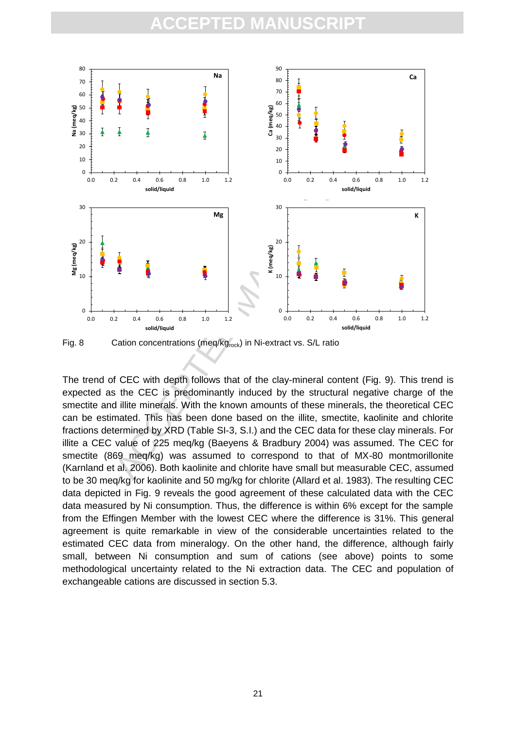

<span id="page-23-0"></span>Fig. 8 Cation concentrations (meq/kg<sub>rock</sub>) in Ni-extract vs. S/L ratio

The trend of CEC with depth follows that of the clay-mineral content [\(Fig. 9\)](#page-24-0). This trend is expected as the CEC is predominantly induced by the structural negative charge of the smectite and illite minerals. With the known amounts of these minerals, the theoretical CEC can be estimated. This has been done based on the illite, smectite, kaolinite and chlorite fractions determined by XRD (Table SI-3, S.I.) and the CEC data for these clay minerals. For illite a CEC value of 225 meq/kg (Baeyens & Bradbury 2004) was assumed. The CEC for smectite (869 meq/kg) was assumed to correspond to that of MX-80 montmorillonite (Karnland et al. 2006). Both kaolinite and chlorite have small but measurable CEC, assumed to be 30 meq/kg for kaolinite and 50 mg/kg for chlorite (Allard et al. 1983). The resulting CEC data depicted in [Fig. 9](#page-24-0) reveals the good agreement of these calculated data with the CEC data measured by Ni consumption. Thus, the difference is within 6% except for the sample from the Effingen Member with the lowest CEC where the difference is 31%. This general agreement is quite remarkable in view of the considerable uncertainties related to the estimated CEC data from mineralogy. On the other hand, the difference, although fairly small, between Ni consumption and sum of cations (see above) points to some methodological uncertainty related to the Ni extraction data. The CEC and population of exchangeable cations are discussed in section 5.3.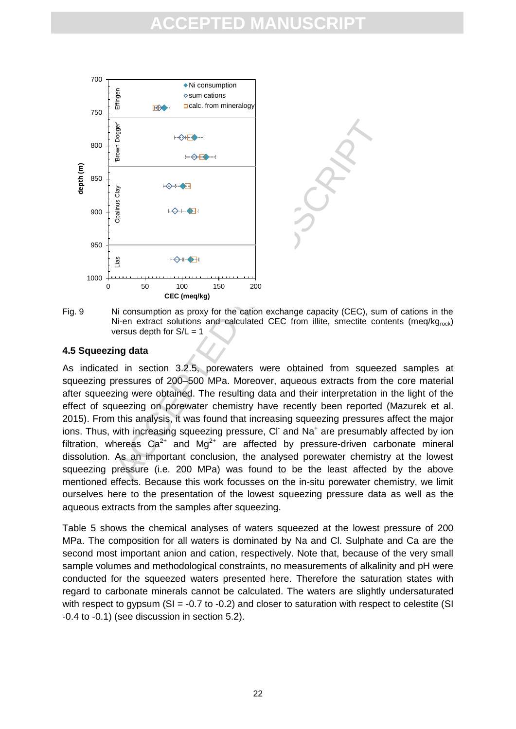

<span id="page-24-0"></span>

### **4.5 Squeezing data**

As indicated in section 3.2.5, porewaters were obtained from squeezed samples at squeezing pressures of 200–500 MPa. Moreover, aqueous extracts from the core material after squeezing were obtained. The resulting data and their interpretation in the light of the effect of squeezing on porewater chemistry have recently been reported (Mazurek et al. 2015). From this analysis, it was found that increasing squeezing pressures affect the major ions. Thus, with increasing squeezing pressure, CI and Na<sup>+</sup> are presumably affected by ion filtration, whereas  $Ca^{2+}$  and  $Ma^{2+}$  are affected by pressure-driven carbonate mineral dissolution. As an important conclusion, the analysed porewater chemistry at the lowest squeezing pressure (i.e. 200 MPa) was found to be the least affected by the above mentioned effects. Because this work focusses on the in-situ porewater chemistry, we limit ourselves here to the presentation of the lowest squeezing pressure data as well as the aqueous extracts from the samples after squeezing.

[Table 5](#page-25-0) shows the chemical analyses of waters squeezed at the lowest pressure of 200 MPa. The composition for all waters is dominated by Na and Cl. Sulphate and Ca are the second most important anion and cation, respectively. Note that, because of the very small sample volumes and methodological constraints, no measurements of alkalinity and pH were conducted for the squeezed waters presented here. Therefore the saturation states with regard to carbonate minerals cannot be calculated. The waters are slightly undersaturated with respect to gypsum  $(SI = -0.7$  to  $-0.2)$  and closer to saturation with respect to celestite  $(SI)$ -0.4 to -0.1) (see discussion in section 5.2).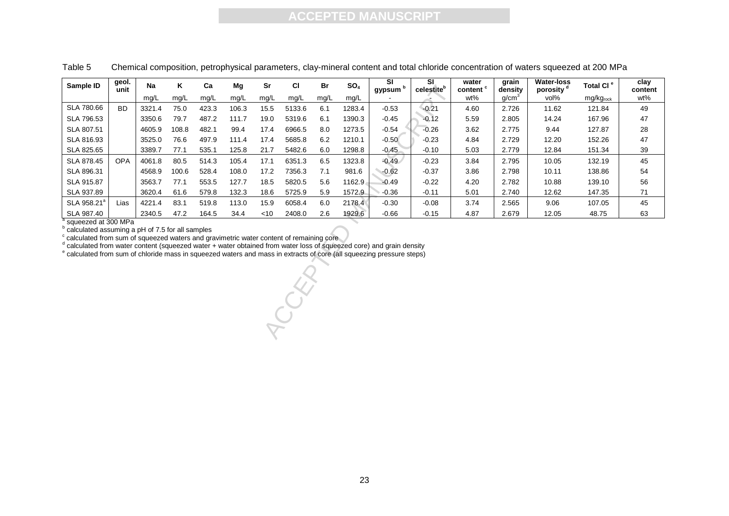<span id="page-25-0"></span>

| Sample ID                                                                                                                                              | geol.<br>unit | Na     | K     | Ca    | Mg    | Sr     | <b>CI</b> | <b>Br</b> | SO <sub>4</sub> | <b>SI</b><br>gypsum <sup>b</sup> | SI.<br>celestiteb | water<br>content <sup>c</sup> | grain<br>density  | <b>Water-loss</b><br>porosity <sup>d</sup> | Total Cl <sup>e</sup> | clay<br>content |
|--------------------------------------------------------------------------------------------------------------------------------------------------------|---------------|--------|-------|-------|-------|--------|-----------|-----------|-----------------|----------------------------------|-------------------|-------------------------------|-------------------|--------------------------------------------|-----------------------|-----------------|
|                                                                                                                                                        |               | mq/L   | mg/L  | mg/L  | mg/L  | mg/L   | mg/L      | mg/L      | mq/L            |                                  |                   | wt%                           | g/cm <sup>3</sup> | vol%                                       | $mg/kg_{rock}$        | wt%             |
| SLA 780.66                                                                                                                                             | <b>BD</b>     | 3321.4 | 75.0  | 423.3 | 106.3 | 15.5   | 5133.6    | 6.1       | 1283.4          | $-0.53$                          | $-0.21$           | 4.60                          | 2.726             | 11.62                                      | 121.84                | 49              |
| SLA 796.53                                                                                                                                             |               | 3350.6 | 79.7  | 487.2 | 111.7 | 19.0   | 5319.6    | 6.1       | 1390.3          | $-0.45$                          | $-0.12$           | 5.59                          | 2.805             | 14.24                                      | 167.96                | 47              |
| SLA 807.51                                                                                                                                             |               | 4605.9 | 108.8 | 482.1 | 99.4  | 17.4   | 6966.5    | 8.0       | 1273.5          | $-0.54$                          | $-0.26$           | 3.62                          | 2.775             | 9.44                                       | 127.87                | 28              |
| SLA 816.93                                                                                                                                             |               | 3525.0 | 76.6  | 497.9 | 111.4 | 17.4   | 5685.8    | 6.2       | 1210.1          | $-0.50$                          | $-0.23$           | 4.84                          | 2.729             | 12.20                                      | 152.26                | 47              |
| SLA 825.65                                                                                                                                             |               | 3389.7 | 77.1  | 535.1 | 125.8 | 21.7   | 5482.6    | 6.0       | 1298.8          | $-0.45$                          | $-0.10$           | 5.03                          | 2.779             | 12.84                                      | 151.34                | 39              |
| SLA 878.45                                                                                                                                             | <b>OPA</b>    | 4061.8 | 80.5  | 514.3 | 105.4 | 17.1   | 6351.3    | 6.5       | 1323.8          | $-0.49$                          | $-0.23$           | 3.84                          | 2.795             | 10.05                                      | 132.19                | 45              |
| SLA 896.31                                                                                                                                             |               | 4568.9 | 100.6 | 528.4 | 108.0 | 17.2   | 7356.3    | 7.1       | 981.6           | $-0.62$                          | $-0.37$           | 3.86                          | 2.798             | 10.11                                      | 138.86                | 54              |
| SLA 915.87                                                                                                                                             |               | 3563.7 | 77.1  | 553.5 | 127.7 | 18.5   | 5820.5    | 5.6       | 1162.9          | $-0.49$                          | $-0.22$           | 4.20                          | 2.782             | 10.88                                      | 139.10                | 56              |
| SLA 937.89                                                                                                                                             |               | 3620.4 | 61.6  | 579.8 | 132.3 | 18.6   | 5725.9    | 5.9       | 1572.9          | $-0.36$                          | $-0.11$           | 5.01                          | 2.740             | 12.62                                      | 147.35                | 71              |
| SLA 958.21 <sup>a</sup>                                                                                                                                | Lias          | 4221.4 | 83.1  | 519.8 | 113.0 | 15.9   | 6058.4    | 6.0       | 2178.4          | $-0.30$                          | $-0.08$           | 3.74                          | 2.565             | 9.06                                       | 107.05                | 45              |
| SLA 987.40                                                                                                                                             |               | 2340.5 | 47.2  | 164.5 | 34.4  | $<$ 10 | 2408.0    | 2.6       | 1929.6          | $-0.66$                          | $-0.15$           | 4.87                          | 2.679             | 12.05                                      | 48.75                 | 63              |
| squeezed at 300 MPa                                                                                                                                    |               |        |       |       |       |        |           |           |                 |                                  |                   |                               |                   |                                            |                       |                 |
| <sup>b</sup> calculated assuming a pH of 7.5 for all samples<br>calculated from sum of squeezed waters and gravimetric water content of remaining core |               |        |       |       |       |        |           |           |                 |                                  |                   |                               |                   |                                            |                       |                 |
| <sup>d</sup> calculated from water content (squeezed water + water obtained from water loss of squeezed core) and grain density                        |               |        |       |       |       |        |           |           |                 |                                  |                   |                               |                   |                                            |                       |                 |
| ecalculated from sum of chloride mass in squeezed waters and mass in extracts of core (all squeezing pressure steps)                                   |               |        |       |       |       |        |           |           |                 |                                  |                   |                               |                   |                                            |                       |                 |
|                                                                                                                                                        |               |        |       |       |       |        |           |           |                 |                                  |                   |                               |                   |                                            |                       |                 |
|                                                                                                                                                        | ER            |        |       |       |       |        |           |           |                 |                                  |                   |                               |                   |                                            |                       |                 |
|                                                                                                                                                        |               |        |       |       |       |        |           |           |                 |                                  |                   |                               |                   |                                            |                       |                 |
|                                                                                                                                                        |               |        |       |       |       |        |           |           |                 |                                  |                   |                               |                   |                                            |                       |                 |

Table 5 Chemical composition, petrophysical parameters, clay-mineral content and total chloride concentration of waters squeezed at 200 MPa

23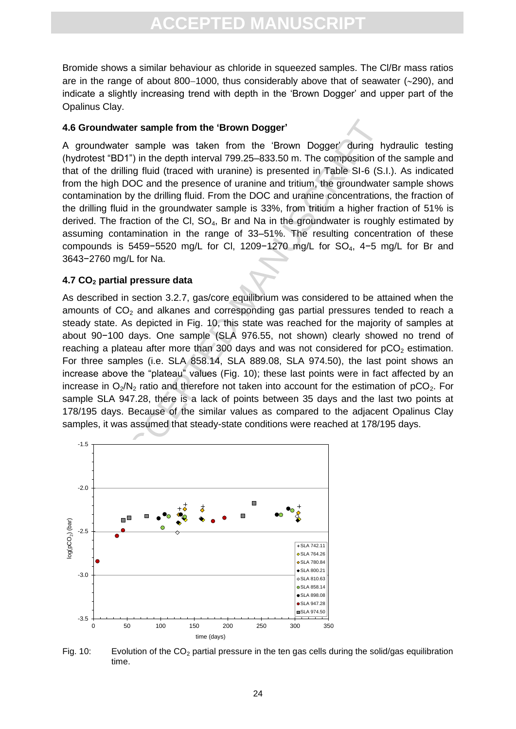Bromide shows a similar behaviour as chloride in squeezed samples. The Cl/Br mass ratios are in the range of about 800-1000, thus considerably above that of seawater ( $\sim$ 290), and indicate a slightly increasing trend with depth in the "Brown Dogger" and upper part of the Opalinus Clay.

#### **4.6 Groundwater sample from the 'Brown Dogger'**

A groundwater sample was taken from the 'Brown Dogger' during hydraulic testing (hydrotest "BD1") in the depth interval 799.25–833.50 m. The composition of the sample and that of the drilling fluid (traced with uranine) is presented in Table SI-6 (S.I.). As indicated from the high DOC and the presence of uranine and tritium, the groundwater sample shows contamination by the drilling fluid. From the DOC and uranine concentrations, the fraction of the drilling fluid in the groundwater sample is 33%, from tritium a higher fraction of 51% is derived. The fraction of the CI,  $SO_4$ , Br and Na in the groundwater is roughly estimated by assuming contamination in the range of 33–51%. The resulting concentration of these compounds is 5459-5520 mg/L for Cl, 1209-1270 mg/L for SO<sub>4</sub>, 4-5 mg/L for Br and 3643−2760 mg/L for Na.

#### **4.7 CO<sup>2</sup> partial pressure data**

water sample from the 'Brown [D](#page-26-0)ogger'<br>ater sample was taken from the 'Brown Dogger' during h;<br>BD1") in the depth interval 799.25–833.50 m. The composition of<br>BD1") in the depth interval 799.25–833.50 m. The composition of<br> As described in section 3.2.7, gas/core equilibrium was considered to be attained when the amounts of  $CO<sub>2</sub>$  and alkanes and corresponding gas partial pressures tended to reach a steady state. As depicted in Fig. 10, this state was reached for the majority of samples at about 90−100 days. One sample (SLA 976.55, not shown) clearly showed no trend of reaching a plateau after more than 300 days and was not considered for  $pCO<sub>2</sub>$  estimation. For three samples (i.e. SLA 858.14, SLA 889.08, SLA 974.50), the last point shows an increase above the "plateau" values (Fig. 10); these last points were in fact affected by an increase in  $O_2/N_2$  ratio and therefore not taken into account for the estimation of  $pCO_2$ . For sample SLA 947.28, there is a lack of points between 35 days and the last two points at 178/195 days. Because of the similar values as compared to the adjacent Opalinus Clay samples, it was assumed that steady-state conditions were reached at 178/195 days.



<span id="page-26-0"></span>Fig. 10: Evolution of the  $CO<sub>2</sub>$  partial pressure in the ten gas cells during the solid/gas equilibration time.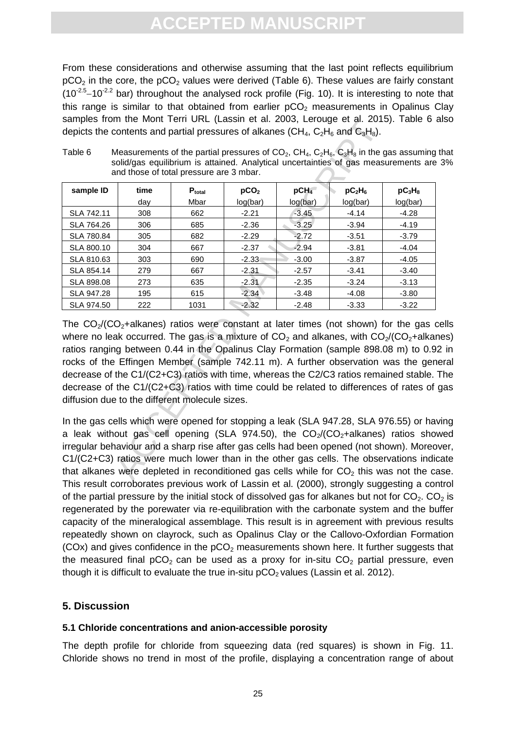From these considerations and otherwise assuming that the last point reflects equilibrium  $pCO<sub>2</sub>$  in the core, the  $pCO<sub>2</sub>$  values were derived [\(Table 6\)](#page-27-0). These values are fairly constant  $(10^{-2.5} - 10^{-2.2}$  bar) throughout the analysed rock profile [\(Fig. 10\)](#page-26-0). It is interesting to note that this range is similar to that obtained from earlier  $pCO<sub>2</sub>$  measurements in Opalinus Clay samples from the Mont Terri URL (Lassin et al. 2003, Lerouge et al. 2015). [Table 6](#page-27-0) also depicts the contents and partial pressures of alkanes ( $CH_4$ ,  $C_2H_6$  and  $C_3H_8$ ).

| samples from the Mont Terri ORL (Lassin et al. 2003, Lerouge et al. 2015). Table 6<br>depicts the contents and partial pressures of alkanes ( $CH_4$ , $C_2H_6$ and $C_3H_8$ ).                                                                                                                                                                                                                                                                            |                                                                                                                                                                                                                                                                                                                                                                                                                                                                                                                                                                                                       |             |                  |                  |                                |           |  |  |  |  |  |
|------------------------------------------------------------------------------------------------------------------------------------------------------------------------------------------------------------------------------------------------------------------------------------------------------------------------------------------------------------------------------------------------------------------------------------------------------------|-------------------------------------------------------------------------------------------------------------------------------------------------------------------------------------------------------------------------------------------------------------------------------------------------------------------------------------------------------------------------------------------------------------------------------------------------------------------------------------------------------------------------------------------------------------------------------------------------------|-------------|------------------|------------------|--------------------------------|-----------|--|--|--|--|--|
| Measurements of the partial pressures of $CO_2$ , CH <sub>4</sub> , $C_2H_6$ , $C_3H_8$ in the gas assuming<br>Table 6<br>solid/gas equilibrium is attained. Analytical uncertainties of gas measurements are<br>and those of total pressure are 3 mbar.                                                                                                                                                                                                   |                                                                                                                                                                                                                                                                                                                                                                                                                                                                                                                                                                                                       |             |                  |                  |                                |           |  |  |  |  |  |
| sample ID                                                                                                                                                                                                                                                                                                                                                                                                                                                  | time                                                                                                                                                                                                                                                                                                                                                                                                                                                                                                                                                                                                  | $P_{total}$ | pCO <sub>2</sub> | pCH <sub>4</sub> | pC <sub>2</sub> H <sub>6</sub> | $pC_3H_8$ |  |  |  |  |  |
|                                                                                                                                                                                                                                                                                                                                                                                                                                                            | day                                                                                                                                                                                                                                                                                                                                                                                                                                                                                                                                                                                                   | Mbar        | log(bar)         | log(bar)         | log(bar)                       | log(bar)  |  |  |  |  |  |
| SLA 742.11                                                                                                                                                                                                                                                                                                                                                                                                                                                 | 308                                                                                                                                                                                                                                                                                                                                                                                                                                                                                                                                                                                                   | 662         | $-2.21$          | $-3.45$          | $-4.14$                        | $-4.28$   |  |  |  |  |  |
| SLA 764.26                                                                                                                                                                                                                                                                                                                                                                                                                                                 | 306                                                                                                                                                                                                                                                                                                                                                                                                                                                                                                                                                                                                   | 685         | $-2.36$          | $-3.25$          | $-3.94$                        | $-4.19$   |  |  |  |  |  |
| SLA 780.84                                                                                                                                                                                                                                                                                                                                                                                                                                                 | 305                                                                                                                                                                                                                                                                                                                                                                                                                                                                                                                                                                                                   | 682         | $-2.29$          | $-2.72$          | $-3.51$                        | $-3.79$   |  |  |  |  |  |
| SLA 800.10                                                                                                                                                                                                                                                                                                                                                                                                                                                 | 304                                                                                                                                                                                                                                                                                                                                                                                                                                                                                                                                                                                                   | 667         | $-2.37$          | $-2.94$          | $-3.81$                        | $-4.04$   |  |  |  |  |  |
| SLA 810.63                                                                                                                                                                                                                                                                                                                                                                                                                                                 | 303                                                                                                                                                                                                                                                                                                                                                                                                                                                                                                                                                                                                   | 690         | $-2.33$          | $-3.00$          | $-3.87$                        | $-4.05$   |  |  |  |  |  |
| SLA 854.14                                                                                                                                                                                                                                                                                                                                                                                                                                                 | 279                                                                                                                                                                                                                                                                                                                                                                                                                                                                                                                                                                                                   | 667         | $-2.31$          | $-2.57$          | $-3.41$                        | $-3.40$   |  |  |  |  |  |
| SLA 898.08                                                                                                                                                                                                                                                                                                                                                                                                                                                 | 273                                                                                                                                                                                                                                                                                                                                                                                                                                                                                                                                                                                                   | 635         | $-2.31$          | $-2.35$          | $-3.24$                        | $-3.13$   |  |  |  |  |  |
| SLA 947.28                                                                                                                                                                                                                                                                                                                                                                                                                                                 | 195                                                                                                                                                                                                                                                                                                                                                                                                                                                                                                                                                                                                   | 615         | $-2.34$          | $-3.48$          | $-4.08$                        | $-3.80$   |  |  |  |  |  |
| SLA 974.50                                                                                                                                                                                                                                                                                                                                                                                                                                                 | 222                                                                                                                                                                                                                                                                                                                                                                                                                                                                                                                                                                                                   | 1031        | $-2.32$          | $-2.48$          | $-3.33$                        | $-3.22$   |  |  |  |  |  |
|                                                                                                                                                                                                                                                                                                                                                                                                                                                            | The $CO_2/(CO_2+$ alkanes) ratios were constant at later times (not shown) for the gas<br>where no leak occurred. The gas is a mixture of $CO2$ and alkanes, with $CO2/(CO2+alka)$<br>ratios ranging between 0.44 in the Opalinus Clay Formation (sample 898.08 m) to 0.9<br>rocks of the Effingen Member (sample 742.11 m). A further observation was the ger<br>decrease of the C1/(C2+C3) ratios with time, whereas the C2/C3 ratios remained stable.<br>decrease of the C1/(C2+C3) ratios with time could be related to differences of rates of<br>diffusion due to the different molecule sizes. |             |                  |                  |                                |           |  |  |  |  |  |
| In the gas cells which were opened for stopping a leak (SLA 947.28, SLA 976.55) or ha<br>a leak without gas cell opening (SLA 974.50), the $CO_2/(CO_2+alkanes)$ ratios sho<br>irregular behaviour and a sharp rise after gas cells had been opened (not shown). Mored<br>C1/(C2+C3) ratios were much lower than in the other gas cells. The observations indi<br>that alkanes were depleted in reconditioned gas cells while for $CO2$ this was not the c |                                                                                                                                                                                                                                                                                                                                                                                                                                                                                                                                                                                                       |             |                  |                  |                                |           |  |  |  |  |  |

<span id="page-27-0"></span>Table 6 Measurements of the partial pressures of  $CO_2$ ,  $CH_4$ ,  $C_2H_6$ ,  $C_3H_8$  in the gas assuming that solid/gas equilibrium is attained. Analytical uncertainties of gas measurements are 3% and those of total pressure are 3 mbar.

The  $CO<sub>2</sub>/(CO<sub>2</sub>+alkanes)$  ratios were constant at later times (not shown) for the gas cells where no leak occurred. The gas is a mixture of  $CO<sub>2</sub>$  and alkanes, with  $CO<sub>2</sub>$  (CO<sub>2</sub>+alkanes) ratios ranging between 0.44 in the Opalinus Clay Formation (sample 898.08 m) to 0.92 in rocks of the Effingen Member (sample 742.11 m). A further observation was the general decrease of the C1/(C2+C3) ratios with time, whereas the C2/C3 ratios remained stable. The decrease of the C1/(C2+C3) ratios with time could be related to differences of rates of gas diffusion due to the different molecule sizes.

In the gas cells which were opened for stopping a leak (SLA 947.28, SLA 976.55) or having a leak without gas cell opening (SLA 974.50), the  $CO_2/(CO_2+alkanes)$  ratios showed irregular behaviour and a sharp rise after gas cells had been opened (not shown). Moreover, C1/(C2+C3) ratios were much lower than in the other gas cells. The observations indicate that alkanes were depleted in reconditioned gas cells while for  $CO<sub>2</sub>$  this was not the case. This result corroborates previous work of Lassin et al. (2000), strongly suggesting a control of the partial pressure by the initial stock of dissolved gas for alkanes but not for  $CO<sub>2</sub>$ .  $CO<sub>2</sub>$  is regenerated by the porewater via re-equilibration with the carbonate system and the buffer capacity of the mineralogical assemblage. This result is in agreement with previous results repeatedly shown on clayrock, such as Opalinus Clay or the Callovo-Oxfordian Formation (COx) and gives confidence in the  $pCO<sub>2</sub>$  measurements shown here. It further suggests that the measured final  $pCO<sub>2</sub>$  can be used as a proxy for in-situ  $CO<sub>2</sub>$  partial pressure, even though it is difficult to evaluate the true in-situ  $pCO<sub>2</sub>$  values (Lassin et al. 2012).

### **5. Discussion**

#### **5.1 Chloride concentrations and anion-accessible porosity**

The depth profile for chloride from squeezing data (red squares) is shown in [Fig. 11.](#page-28-0) Chloride shows no trend in most of the profile, displaying a concentration range of about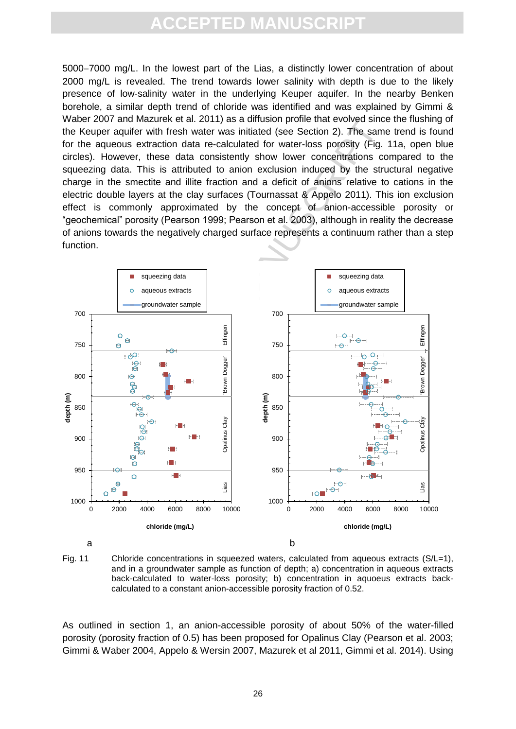5000-7000 mg/L. In the lowest part of the Lias, a distinctly lower concentration of about 2000 mg/L is revealed. The trend towards lower salinity with depth is due to the likely presence of low-salinity water in the underlying Keuper aquifer. In the nearby Benken borehole, a similar depth trend of chloride was identified and was explained by Gimmi & Waber 2007 and Mazurek et al. 2011) as a diffusion profile that evolved since the flushing of the Keuper aquifer with fresh water was initiated (see Section 2). The same trend is found for the aqueous extraction data re-calculated for water-loss porosity [\(Fig. 11a](#page-28-0), open blue circles). However, these data consistently show lower concentrations compared to the squeezing data. This is attributed to anion exclusion induced by the structural negative charge in the smectite and illite fraction and a deficit of anions relative to cations in the electric double layers at the clay surfaces (Tournassat & Appelo 2011). This ion exclusion effect is commonly approximated by the concept of anion-accessible porosity or "geochemical" porosity (Pearson 1999; Pearson et al. 2003), although in reality the decrease of anions towards the negatively charged surface represents a continuum rather than a step function.



<span id="page-28-0"></span>Fig. 11 Chloride concentrations in squeezed waters, calculated from aqueous extracts (S/L=1), and in a groundwater sample as function of depth; a) concentration in aqueous extracts back-calculated to water-loss porosity; b) concentration in aquoeus extracts backcalculated to a constant anion-accessible porosity fraction of 0.52.

As outlined in section 1, an anion-accessible porosity of about 50% of the water-filled porosity (porosity fraction of 0.5) has been proposed for Opalinus Clay (Pearson et al. 2003; Gimmi & Waber 2004, Appelo & Wersin 2007, Mazurek et al 2011, Gimmi et al. 2014). Using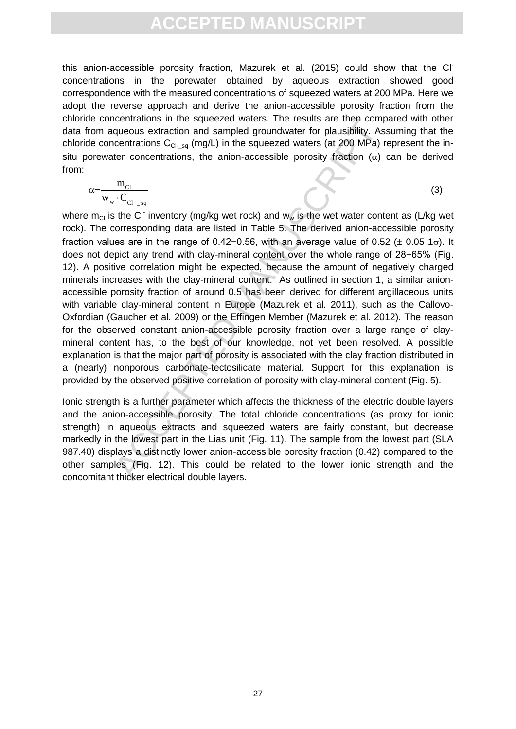this anion-accessible porosity fraction, Mazurek et al. (2015) could show that the Clconcentrations in the porewater obtained by aqueous extraction showed good correspondence with the measured concentrations of squeezed waters at 200 MPa. Here we adopt the reverse approach and derive the anion-accessible porosity fraction from the chloride concentrations in the squeezed waters. The results are then compared with other data from aqueous extraction and sampled groundwater for plausibility. Assuming that the chloride concentrations  $C_{Cl-sq}$  (mg/L) in the squeezed waters (at 200 MPa) represent the insitu porewater concentrations, the anion-accessible porosity fraction  $(\alpha)$  can be derived from:

$$
\alpha = \frac{m_{\text{Cl}}}{w_{\text{w}} \cdot C_{\text{Cl}^-\text{sq}}}
$$
 (3)

dentitations in the squeezed waters. The fessures are their completed and sampled groundwater for plausibility. Asseminations C<sub>Ct<sub>-sq</sub> (mg/L) in the squeezed waters (at 200 MPa) r are concentrations, the anion-accessible</sub> where m<sub>Cl</sub> is the Cl<sup>-</sup> inventory (mg/kg wet rock) and ww is the wet water content as (L/kg wet rock). The corresponding data are listed in Table 5. The derived anion-accessible porosity fraction values are in the range of 0.42−0.56, with an average value of 0.52 ( $\pm$  0.05 1 $\sigma$ ). It does not depict any trend with clay-mineral content over the whole range of 28−65% [\(Fig.](#page-30-0)  [12\)](#page-30-0). A positive correlation might be expected, because the amount of negatively charged minerals increases with the clay-mineral content. As outlined in section 1, a similar anionaccessible porosity fraction of around 0.5 has been derived for different argillaceous units with variable clay-mineral content in Europe (Mazurek et al. 2011), such as the Callovo-Oxfordian (Gaucher et al. 2009) or the Effingen Member (Mazurek et al. 2012). The reason for the observed constant anion-accessible porosity fraction over a large range of claymineral content has, to the best of our knowledge, not yet been resolved. A possible explanation is that the major part of porosity is associated with the clay fraction distributed in a (nearly) nonporous carbonate-tectosilicate material. Support for this explanation is provided by the observed positive correlation of porosity with clay-mineral content (Fig. 5).

Ionic strength is a further parameter which affects the thickness of the electric double layers and the anion-accessible porosity. The total chloride concentrations (as proxy for ionic strength) in aqueous extracts and squeezed waters are fairly constant, but decrease markedly in the lowest part in the Lias unit (Fig. 11). The sample from the lowest part (SLA 987.40) displays a distinctly lower anion-accessible porosity fraction (0.42) compared to the other samples (Fig. 12). This could be related to the lower ionic strength and the concomitant thicker electrical double layers.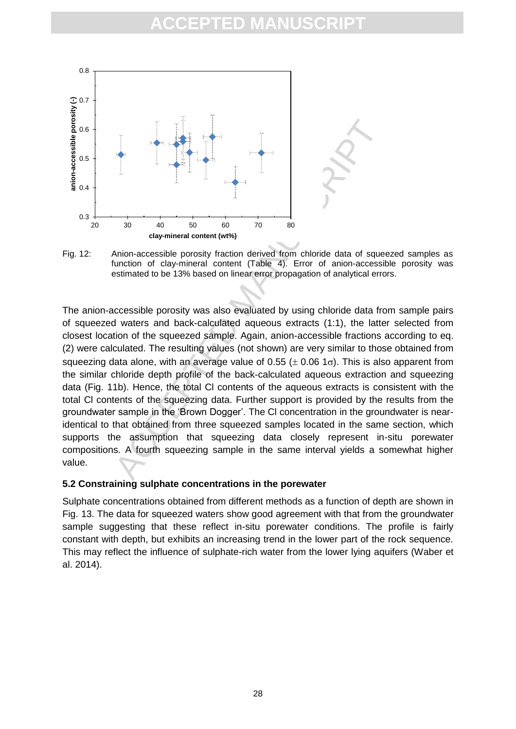### **EPTED MANUS**



<span id="page-30-0"></span>Fig. 12: Anion-accessible porosity fraction derived from chloride data of squeezed samples as function of clay-mineral content (Table 4). Error of anion-accessible porosity was estimated to be 13% based on linear error propagation of analytical errors.

30 40 50 60 70 80<br>
clay-mineral content (wt%)<br>
Anion-accessible porosity fraction derived from chloride data of squeezing<br>
Anion-accessible porosity fraction derived from chloride data of squeezing<br>
assiminated to be 13% b The anion-accessible porosity was also evaluated by using chloride data from sample pairs of squeezed waters and back-calculated aqueous extracts (1:1), the latter selected from closest location of the squeezed sample. Again, anion-accessible fractions according to eq. (2) were calculated. The resulting values (not shown) are very similar to those obtained from squeezing data alone, with an average value of 0.55 ( $\pm$  0.06 1 $\sigma$ ). This is also apparent from the similar chloride depth profile of the back-calculated aqueous extraction and squeezing data [\(Fig. 11b](#page-28-0)). Hence, the total Cl contents of the aqueous extracts is consistent with the total Cl contents of the squeezing data. Further support is provided by the results from the groundwater sample in the "Brown Dogger". The Cl concentration in the groundwater is nearidentical to that obtained from three squeezed samples located in the same section, which supports the assumption that squeezing data closely represent in-situ porewater compositions. A fourth squeezing sample in the same interval yields a somewhat higher value.

### **5.2 Constraining sulphate concentrations in the porewater**

Sulphate concentrations obtained from different methods as a function of depth are shown in [Fig. 13.](#page-31-0) The data for squeezed waters show good agreement with that from the groundwater sample suggesting that these reflect in-situ porewater conditions. The profile is fairly constant with depth, but exhibits an increasing trend in the lower part of the rock sequence. This may reflect the influence of sulphate-rich water from the lower lying aquifers (Waber et al. 2014).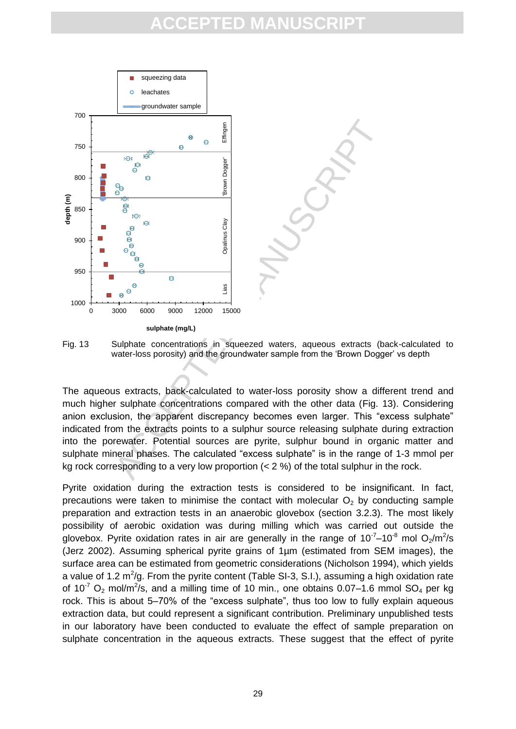

<span id="page-31-0"></span>Fig. 13 Sulphate concentrations in squeezed waters, aqueous extracts (back-calculated to water-loss porosity) and the groundwater sample from the "Brown Dogger" vs depth

The aqueous extracts, back-calculated to water-loss porosity show a different trend and much higher sulphate concentrations compared with the other data [\(Fig. 13\)](#page-31-0). Considering anion exclusion, the apparent discrepancy becomes even larger. This "excess sulphate" indicated from the extracts points to a sulphur source releasing sulphate during extraction into the porewater. Potential sources are pyrite, sulphur bound in organic matter and sulphate mineral phases. The calculated "excess sulphate" is in the range of 1-3 mmol per kg rock corresponding to a very low proportion  $(< 2 %)$  of the total sulphur in the rock.

Pyrite oxidation during the extraction tests is considered to be insignificant. In fact, precautions were taken to minimise the contact with molecular  $O<sub>2</sub>$  by conducting sample preparation and extraction tests in an anaerobic glovebox (section 3.2.3). The most likely possibility of aerobic oxidation was during milling which was carried out outside the glovebox. Pyrite oxidation rates in air are generally in the range of  $10^{-7}$ –10<sup>-8</sup> mol O<sub>2</sub>/m<sup>2</sup>/s (Jerz 2002). Assuming spherical pyrite grains of 1µm (estimated from SEM images), the surface area can be estimated from geometric considerations (Nicholson 1994), which yields a value of 1.2  $m^2/g$ . From the pyrite content (Table SI-3, S.I.), assuming a high oxidation rate of 10<sup>-7</sup> O<sub>2</sub> mol/m<sup>2</sup>/s, and a milling time of 10 min., one obtains 0.07–1.6 mmol SO<sub>4</sub> per kg rock. This is about 5–70% of the "excess sulphate", thus too low to fully explain aqueous extraction data, but could represent a significant contribution. Preliminary unpublished tests in our laboratory have been conducted to evaluate the effect of sample preparation on sulphate concentration in the aqueous extracts. These suggest that the effect of pyrite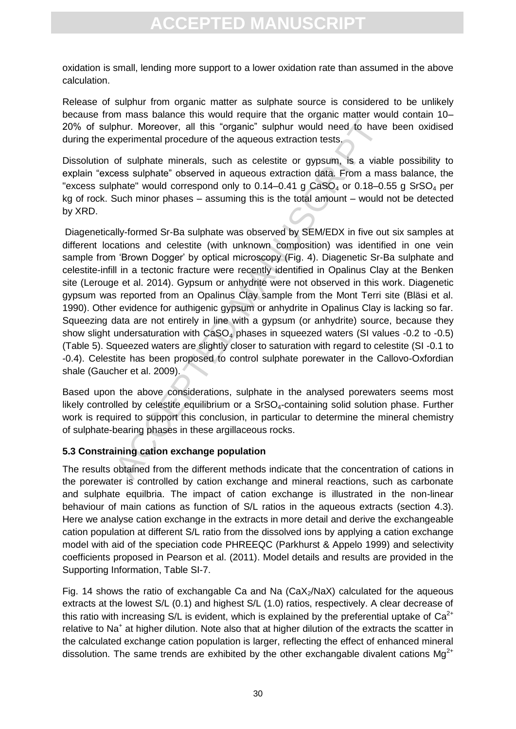oxidation is small, lending more support to a lower oxidation rate than assumed in the above calculation.

Release of sulphur from organic matter as sulphate source is considered to be unlikely because from mass balance this would require that the organic matter would contain 10– 20% of sulphur. Moreover, all this "organic" sulphur would need to have been oxidised during the experimental procedure of the aqueous extraction tests.

Dissolution of sulphate minerals, such as celestite or gypsum, is a viable possibility to explain "excess sulphate" observed in aqueous extraction data. From a mass balance, the "excess sulphate" would correspond only to  $0.14-0.41$  g  $CaSO<sub>4</sub>$  or  $0.18-0.55$  g SrSO<sub>4</sub> per kg of rock. Such minor phases – assuming this is the total amount – would not be detected by XRD.

bhur. Moreover, all this "organic" sulphur would need to have<br>xperimental procedure of the aqueous extraction tests.<br>of sulphate minerals, such as celestite or gypsum, is a viab<br>cess sulphate" observed in aqueous extractio Diagenetically-formed Sr-Ba sulphate was observed by SEM/EDX in five out six samples at different locations and celestite (with unknown composition) was identified in one vein sample from "Brown Dogger" by optical microscopy (Fig. 4). Diagenetic Sr-Ba sulphate and celestite-infill in a tectonic fracture were recently identified in Opalinus Clay at the Benken site (Lerouge et al. 2014). Gypsum or anhydrite were not observed in this work. Diagenetic gypsum was reported from an Opalinus Clay sample from the Mont Terri site (Bläsi et al. 1990). Other evidence for authigenic gypsum or anhydrite in Opalinus Clay is lacking so far. Squeezing data are not entirely in line with a gypsum (or anhydrite) source, because they show slight undersaturation with  $CaSO<sub>4</sub>$  phases in squeezed waters (SI values -0.2 to -0.5) [\(Table 5\)](#page-25-0). Squeezed waters are slightly closer to saturation with regard to celestite (SI -0.1 to -0.4). Celestite has been proposed to control sulphate porewater in the Callovo-Oxfordian shale (Gaucher et al. 2009).

Based upon the above considerations, sulphate in the analysed porewaters seems most likely controlled by celestite equilibrium or a  $SrSO<sub>4</sub>$ -containing solid solution phase. Further work is required to support this conclusion, in particular to determine the mineral chemistry of sulphate-bearing phases in these argillaceous rocks.

### **5.3 Constraining cation exchange population**

The results obtained from the different methods indicate that the concentration of cations in the porewater is controlled by cation exchange and mineral reactions, such as carbonate and sulphate equilbria. The impact of cation exchange is illustrated in the non-linear behaviour of main cations as function of S/L ratios in the aqueous extracts (section 4.3). Here we analyse cation exchange in the extracts in more detail and derive the exchangeable cation population at different S/L ratio from the dissolved ions by applying a cation exchange model with aid of the speciation code PHREEQC (Parkhurst & Appelo 1999) and selectivity coefficients proposed in Pearson et al. (2011). Model details and results are provided in the Supporting Information, Table SI-7.

[Fig. 14](#page-33-0) shows the ratio of exchangable Ca and Na  $(CaX_2/NaX)$  calculated for the aqueous extracts at the lowest S/L (0.1) and highest S/L (1.0) ratios, respectively. A clear decrease of this ratio with increasing S/L is evident, which is explained by the preferential uptake of  $Ca<sup>2+</sup>$ relative to Na<sup>+</sup> at higher dilution. Note also that at higher dilution of the extracts the scatter in the calculated exchange cation population is larger, reflecting the effect of enhanced mineral dissolution. The same trends are exhibited by the other exchangable divalent cations  $Mg^{2+}$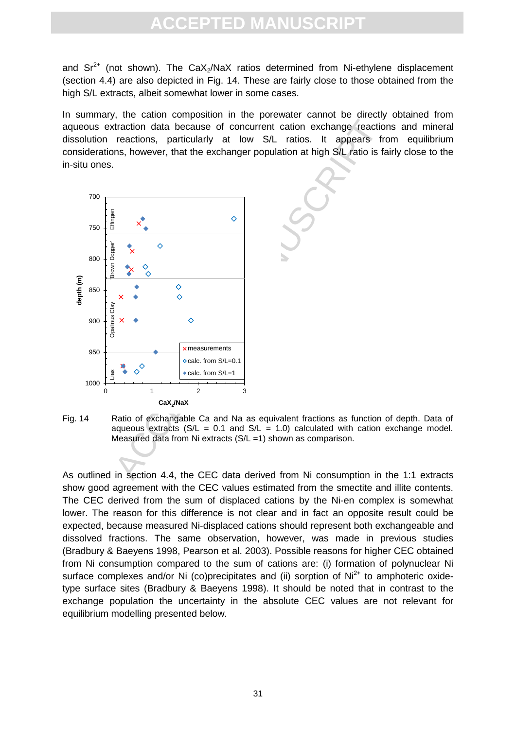### **CCEPTED MANUS**

and  $Sr^{2+}$  (not shown). The CaX<sub>2</sub>/NaX ratios determined from Ni-ethylene displacement (section 4.4) are also depicted in [Fig. 14.](#page-33-0) These are fairly close to those obtained from the high S/L extracts, albeit somewhat lower in some cases.

In summary, the cation composition in the porewater cannot be directly obtained from aqueous extraction data because of concurrent cation exchange reactions and mineral dissolution reactions, particularly at low S/L ratios. It appears from equilibrium considerations, however, that the exchanger population at high S/L ratio is fairly close to the in-situ ones.



<span id="page-33-0"></span>Fig. 14 Ratio of exchangable Ca and Na as equivalent fractions as function of depth. Data of aqueous extracts  $(S/L = 0.1$  and  $S/L = 1.0)$  calculated with cation exchange model. Measured data from Ni extracts (S/L =1) shown as comparison.

As outlined in section 4.4, the CEC data derived from Ni consumption in the 1:1 extracts show good agreement with the CEC values estimated from the smectite and illite contents. The CEC derived from the sum of displaced cations by the Ni-en complex is somewhat lower. The reason for this difference is not clear and in fact an opposite result could be expected, because measured Ni-displaced cations should represent both exchangeable and dissolved fractions. The same observation, however, was made in previous studies (Bradbury & Baeyens 1998, Pearson et al. 2003). Possible reasons for higher CEC obtained from Ni consumption compared to the sum of cations are: (i) formation of polynuclear Ni surface complexes and/or Ni (co)precipitates and (ii) sorption of  $Ni<sup>2+</sup>$  to amphoteric oxidetype surface sites (Bradbury & Baeyens 1998). It should be noted that in contrast to the exchange population the uncertainty in the absolute CEC values are not relevant for equilibrium modelling presented below.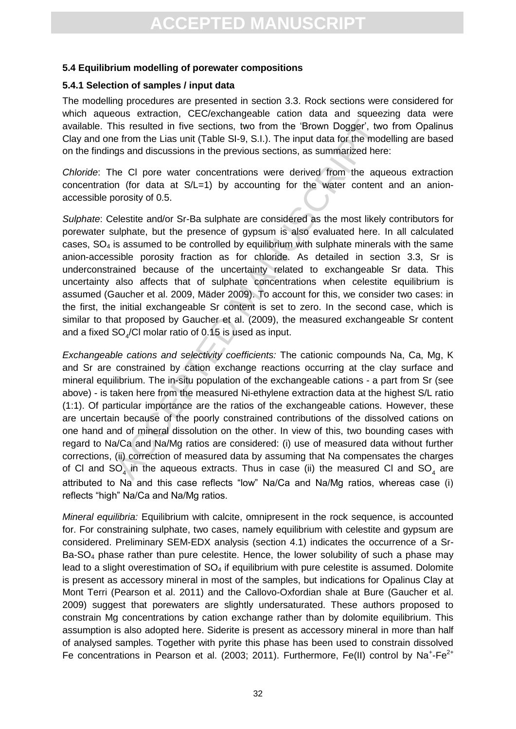### **5.4 Equilibrium modelling of porewater compositions**

### **5.4.1 Selection of samples / input data**

The modelling procedures are presented in section 3.3. Rock sections were considered for which aqueous extraction, CEC/exchangeable cation data and squeezing data were available. This resulted in five sections, two from the "Brown Dogger", two from Opalinus Clay and one from the Lias unit (Table SI-9, S.I.). The input data for the modelling are based on the findings and discussions in the previous sections, as summarized here:

*Chloride*: The Cl pore water concentrations were derived from the aqueous extraction concentration (for data at S/L=1) by accounting for the water content and an anionaccessible porosity of 0.5.

*Sulphate*: Celestite and/or Sr-Ba sulphate are considered as the most likely contributors for porewater sulphate, but the presence of gypsum is also evaluated here. In all calculated cases,  $SO<sub>4</sub>$  is assumed to be controlled by equilibrium with sulphate minerals with the same anion-accessible porosity fraction as for chloride. As detailed in section 3.3, Sr is underconstrained because of the uncertainty related to exchangeable Sr data. This uncertainty also affects that of sulphate concentrations when celestite equilibrium is assumed (Gaucher et al. 2009, Mäder 2009). To account for this, we consider two cases: in the first, the initial exchangeable Sr content is set to zero. In the second case, which is similar to that proposed by Gaucher et al. (2009), the measured exchangeable Sr content and a fixed  $\mathsf{SO}_4\!\mathsf{Cl}$  molar ratio of 0.15 is used as input.

his resulted in five sections, two from the 'Brown Dogger', two<br>from the Lias unit (Table SI-9, S.I.). The input data for the mod<br>gs and discussions in the previous sections, as summarized here<br>no (for data t S/L=1) by ac *Exchangeable cations and selectivity coefficients:* The cationic compounds Na, Ca, Mg, K and Sr are constrained by cation exchange reactions occurring at the clay surface and mineral equilibrium. The in-situ population of the exchangeable cations - a part from Sr (see above) - is taken here from the measured Ni-ethylene extraction data at the highest S/L ratio (1:1). Of particular importance are the ratios of the exchangeable cations. However, these are uncertain because of the poorly constrained contributions of the dissolved cations on one hand and of mineral dissolution on the other. In view of this, two bounding cases with regard to Na/Ca and Na/Mg ratios are considered: (i) use of measured data without further corrections, (ii) correction of measured data by assuming that Na compensates the charges of CI and SO<sub>4</sub> in the aqueous extracts. Thus in case (ii) the measured CI and SO<sub>4</sub> are attributed to Na and this case reflects "low" Na/Ca and Na/Mg ratios, whereas case (i) reflects "high" Na/Ca and Na/Mg ratios.

*Mineral equilibria:* Equilibrium with calcite, omnipresent in the rock sequence, is accounted for. For constraining sulphate, two cases, namely equilibrium with celestite and gypsum are considered. Preliminary SEM-EDX analysis (section 4.1) indicates the occurrence of a Sr- $Ba-SO<sub>4</sub>$  phase rather than pure celestite. Hence, the lower solubility of such a phase may lead to a slight overestimation of  $SO<sub>4</sub>$  if equilibrium with pure celestite is assumed. Dolomite is present as accessory mineral in most of the samples, but indications for Opalinus Clay at Mont Terri (Pearson et al. 2011) and the Callovo-Oxfordian shale at Bure (Gaucher et al. 2009) suggest that porewaters are slightly undersaturated. These authors proposed to constrain Mg concentrations by cation exchange rather than by dolomite equilibrium. This assumption is also adopted here. Siderite is present as accessory mineral in more than half of analysed samples. Together with pyrite this phase has been used to constrain dissolved Fe concentrations in Pearson et al. (2003; 2011). Furthermore, Fe(II) control by Na<sup>+</sup>-Fe<sup>2+</sup>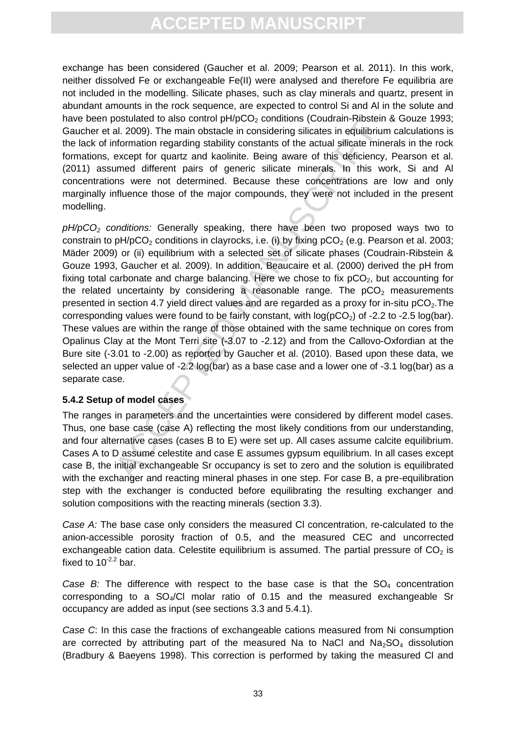exchange has been considered (Gaucher et al. 2009; Pearson et al. 2011). In this work, neither dissolved Fe or exchangeable Fe(II) were analysed and therefore Fe equilibria are not included in the modelling. Silicate phases, such as clay minerals and quartz, present in abundant amounts in the rock sequence, are expected to control Si and Al in the solute and have been postulated to also control  $pH/pCO<sub>2</sub>$  conditions (Coudrain-Ribstein & Gouze 1993; Gaucher et al. 2009). The main obstacle in considering silicates in equilibrium calculations is the lack of information regarding stability constants of the actual silicate minerals in the rock formations, except for quartz and kaolinite. Being aware of this deficiency, Pearson et al. (2011) assumed different pairs of generic silicate minerals. In this work, Si and Al concentrations were not determined. Because these concentrations are low and only marginally influence those of the major compounds, they were not included in the present modelling.

bostomated to asto continuo prupply continuous (coutinum-ratiosient)<br>all 2009). The main obstacle in considering silicates in equilibrium<br>formation regarding stability constants of the actual silicate mine<br>except for quar *pH/pCO<sup>2</sup> conditions:* Generally speaking, there have been two proposed ways two to constrain to  $pH/pCO<sub>2</sub>$  conditions in clayrocks, i.e. (i) by fixing  $pCO<sub>2</sub>$  (e.g. Pearson et al. 2003; Mäder 2009) or (ii) equilibrium with a selected set of silicate phases (Coudrain-Ribstein & Gouze 1993, Gaucher et al. 2009). In addition, Beaucaire et al. (2000) derived the pH from fixing total carbonate and charge balancing. Here we chose to fix  $pCO<sub>2</sub>$ , but accounting for the related uncertainty by considering a reasonable range. The  $pCO<sub>2</sub>$  measurements presented in section 4.7 yield direct values and are regarded as a proxy for in-situ  $pCO<sub>2</sub>$ . The corresponding values were found to be fairly constant, with  $log(pCO<sub>2</sub>)$  of -2.2 to -2.5 log(bar). These values are within the range of those obtained with the same technique on cores from Opalinus Clay at the Mont Terri site (-3.07 to -2.12) and from the Callovo-Oxfordian at the Bure site (-3.01 to -2.00) as reported by Gaucher et al. (2010). Based upon these data, we selected an upper value of -2.2 log(bar) as a base case and a lower one of -3.1 log(bar) as a separate case.

### **5.4.2 Setup of model cases**

The ranges in parameters and the uncertainties were considered by different model cases. Thus, one base case (case A) reflecting the most likely conditions from our understanding, and four alternative cases (cases B to E) were set up. All cases assume calcite equilibrium. Cases A to D assume celestite and case E assumes gypsum equilibrium. In all cases except case B, the initial exchangeable Sr occupancy is set to zero and the solution is equilibrated with the exchanger and reacting mineral phases in one step. For case B, a pre-equilibration step with the exchanger is conducted before equilibrating the resulting exchanger and solution compositions with the reacting minerals (section 3.3).

*Case A:* The base case only considers the measured Cl concentration, re-calculated to the anion-accessible porosity fraction of 0.5, and the measured CEC and uncorrected exchangeable cation data. Celestite equilibrium is assumed. The partial pressure of  $CO<sub>2</sub>$  is fixed to  $10^{-2.2}$  bar.

*Case B:* The difference with respect to the base case is that the  $SO<sub>4</sub>$  concentration corresponding to a  $SO<sub>a</sub>/Cl$  molar ratio of 0.15 and the measured exchangeable Sr occupancy are added as input (see sections 3.3 and 5.4.1).

*Case C*: In this case the fractions of exchangeable cations measured from Ni consumption are corrected by attributing part of the measured Na to NaCl and  $Na<sub>2</sub>SO<sub>4</sub>$  dissolution (Bradbury & Baeyens 1998). This correction is performed by taking the measured Cl and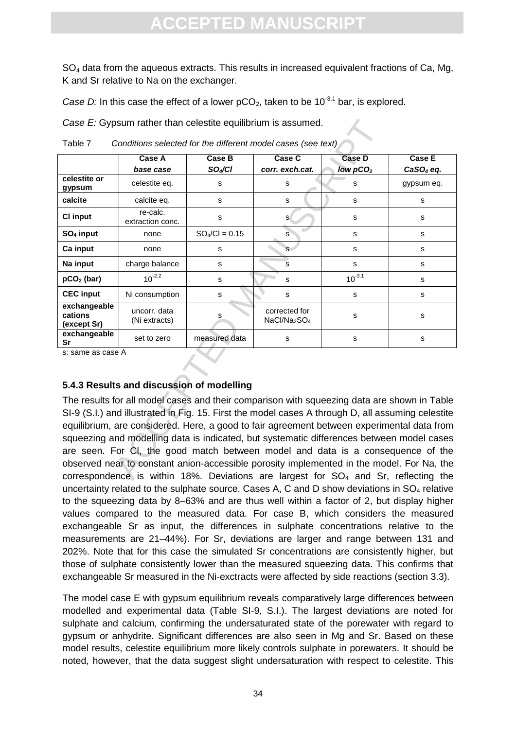SO<sup>4</sup> data from the aqueous extracts. This results in increased equivalent fractions of Ca, Mg, K and Sr relative to Na on the exchanger.

*Case D:* In this case the effect of a lower  $pCO<sub>2</sub>$ , taken to be  $10<sup>-3.1</sup>$  bar, is explored.

*Case E:* Gypsum rather than celestite equilibrium is assumed.

| Case E: Gypsum rather than celestite equilibrium is assumed.                          |                                           |                   |                                                       |                                                                                                   |                       |  |  |  |  |  |
|---------------------------------------------------------------------------------------|-------------------------------------------|-------------------|-------------------------------------------------------|---------------------------------------------------------------------------------------------------|-----------------------|--|--|--|--|--|
| Table 7<br>Conditions selected for the different model cases (see text)               |                                           |                   |                                                       |                                                                                                   |                       |  |  |  |  |  |
|                                                                                       | Case A                                    | Case B            | Case C                                                | <b>Case D</b>                                                                                     | Case E                |  |  |  |  |  |
|                                                                                       | base case                                 | $SO_4$ /CI        | corr. exch.cat.                                       | low pCO <sub>2</sub>                                                                              | CaSO <sub>4</sub> eq. |  |  |  |  |  |
| celestite or<br>gypsum                                                                | celestite eq.                             | S                 | s                                                     | s                                                                                                 | gypsum eq.            |  |  |  |  |  |
| calcite                                                                               | calcite eq.                               | S                 | s                                                     | $\mathbf s$                                                                                       | s                     |  |  |  |  |  |
| <b>CI input</b>                                                                       | re-calc.<br>extraction conc.              | s                 | $\mathbf{s}$                                          | $\mathbf s$                                                                                       | s                     |  |  |  |  |  |
| SO <sub>4</sub> input                                                                 | none                                      | $SO_4$ /Cl = 0.15 | $\mathbf{s}$                                          | $\mathbf s$                                                                                       | s                     |  |  |  |  |  |
| Ca input                                                                              | none                                      | s                 | s                                                     | s                                                                                                 | s                     |  |  |  |  |  |
| Na input                                                                              | charge balance                            | S                 | s                                                     | S                                                                                                 | s                     |  |  |  |  |  |
| $pCO2$ (bar)                                                                          | $10^{-2.2}$                               | s                 | s                                                     | $10^{-3.1}$                                                                                       | s                     |  |  |  |  |  |
| <b>CEC</b> input                                                                      | Ni consumption                            | s                 | s                                                     | s                                                                                                 | s                     |  |  |  |  |  |
| exchangeable<br>cations<br>(except Sr)                                                | uncorr. data<br>(Ni extracts)             | S                 | corrected for<br>NaCl/Na <sub>2</sub> SO <sub>4</sub> | s                                                                                                 | s                     |  |  |  |  |  |
| exchangeable<br>Sr                                                                    | set to zero                               | measured data     | s                                                     | s                                                                                                 | s                     |  |  |  |  |  |
| s: same as case A                                                                     | 5.4.3 Results and discussion of modelling |                   |                                                       |                                                                                                   |                       |  |  |  |  |  |
|                                                                                       |                                           |                   |                                                       | The results for all model cases and their comparison with squeezing data are shown in Table       |                       |  |  |  |  |  |
|                                                                                       |                                           |                   |                                                       | SI-9 (S.I.) and illustrated in Fig. 15. First the model cases A through D, all assuming celestite |                       |  |  |  |  |  |
|                                                                                       |                                           |                   |                                                       | equilibrium, are considered. Here, a good to fair agreement between experimental data from        |                       |  |  |  |  |  |
|                                                                                       |                                           |                   |                                                       | squeezing and modelling data is indicated, but systematic differences between model cases         |                       |  |  |  |  |  |
|                                                                                       |                                           |                   |                                                       |                                                                                                   |                       |  |  |  |  |  |
|                                                                                       |                                           |                   |                                                       | are seen. For CI, the good match between model and data is a consequence of the                   |                       |  |  |  |  |  |
|                                                                                       |                                           |                   |                                                       | observed near to constant anion-accessible porosity implemented in the model. For Na, the         |                       |  |  |  |  |  |
| correspondence is within 18%. Deviations are largest for $SO4$ and Sr, reflecting the |                                           |                   |                                                       |                                                                                                   |                       |  |  |  |  |  |

Table 7 *Conditions selected for the different model cases (see text)*

### **5.4.3 Results and discussion of modelling**

The results for all model cases and their comparison with squeezing data are shown in Table SI-9 (S.I.) and illustrated in Fig. 15. First the model cases A through D, all assuming celestite equilibrium, are considered. Here, a good to fair agreement between experimental data from squeezing and modelling data is indicated, but systematic differences between model cases are seen. For Cl, the good match between model and data is a consequence of the observed near to constant anion-accessible porosity implemented in the model. For Na, the correspondence is within 18%. Deviations are largest for  $SO<sub>4</sub>$  and Sr, reflecting the uncertainty related to the sulphate source. Cases A, C and D show deviations in  $SO<sub>4</sub>$  relative to the squeezing data by 8–63% and are thus well within a factor of 2, but display higher values compared to the measured data. For case B, which considers the measured exchangeable Sr as input, the differences in sulphate concentrations relative to the measurements are 21–44%). For Sr, deviations are larger and range between 131 and 202%. Note that for this case the simulated Sr concentrations are consistently higher, but those of sulphate consistently lower than the measured squeezing data. This confirms that exchangeable Sr measured in the Ni-exctracts were affected by side reactions (section 3.3).

The model case E with gypsum equilibrium reveals comparatively large differences between modelled and experimental data (Table SI-9, S.I.). The largest deviations are noted for sulphate and calcium, confirming the undersaturated state of the porewater with regard to gypsum or anhydrite. Significant differences are also seen in Mg and Sr. Based on these model results, celestite equilibrium more likely controls sulphate in porewaters. It should be noted, however, that the data suggest slight undersaturation with respect to celestite. This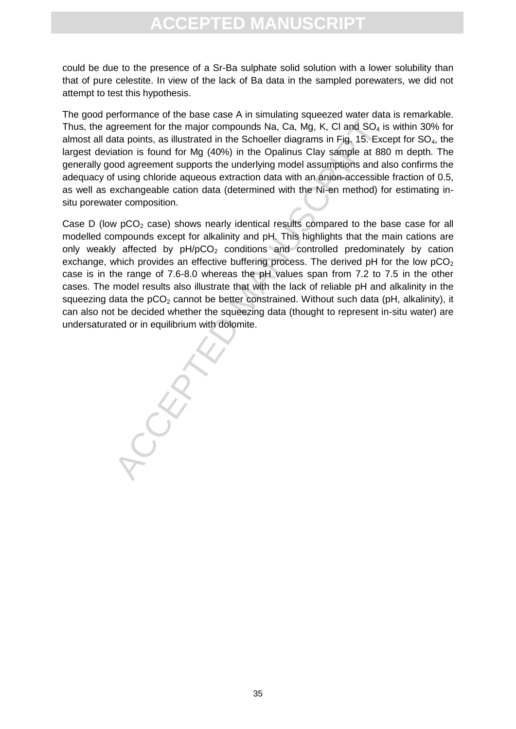could be due to the presence of a Sr-Ba sulphate solid solution with a lower solubility than that of pure celestite. In view of the lack of Ba data in the sampled porewaters, we did not attempt to test this hypothesis.

The good performance of the base case A in simulating squeezed water data is remarkable. Thus, the agreement for the major compounds Na, Ca, Mg, K, CI and  $SO<sub>4</sub>$  is within 30% for almost all data points, as illustrated in the Schoeller diagrams in Fig. 15. Except for SO<sub>4</sub>, the largest deviation is found for Mg (40%) in the Opalinus Clay sample at 880 m depth. The generally good agreement supports the underlying model assumptions and also confirms the adequacy of using chloride aqueous extraction data with an anion-accessible fraction of 0.5, as well as exchangeable cation data (determined with the Ni-en method) for estimating insitu porewater composition.

greement for the major compounds Na, Ca, Mg, K, Cl and SO<sub>4</sub> is<br>tat points, as illustrated in the Schoeller diagrams in Fig. 15. Excelton is found for Mg (40%) in the Opalinus Clay sample at 88<br>od agreement supports the un Case D (low  $pCO<sub>2</sub>$  case) shows nearly identical results compared to the base case for all modelled compounds except for alkalinity and pH. This highlights that the main cations are only weakly affected by  $pH/pCO<sub>2</sub>$  conditions and controlled predominately by cation exchange, which provides an effective buffering process. The derived pH for the low  $pCO<sub>2</sub>$ case is in the range of 7.6-8.0 whereas the pH values span from 7.2 to 7.5 in the other cases. The model results also illustrate that with the lack of reliable pH and alkalinity in the squeezing data the  $pCO<sub>2</sub>$  cannot be better constrained. Without such data (pH, alkalinity), it can also not be decided whether the squeezing data (thought to represent in-situ water) are undersaturated or in equilibrium with dolomite.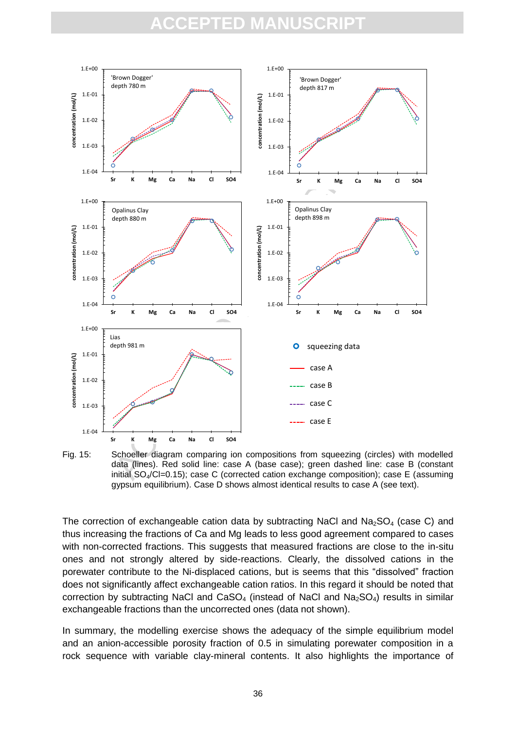

<span id="page-38-0"></span>Fig. 15: Schoeller diagram comparing ion compositions from squeezing (circles) with modelled data (lines). Red solid line: case A (base case); green dashed line: case B (constant initial  $SO_4/CI=0.15$ ); case C (corrected cation exchange composition); case E (assuming gypsum equilibrium). Case D shows almost identical results to case A (see text).

The correction of exchangeable cation data by subtracting NaCl and  $Na<sub>2</sub>SO<sub>4</sub>$  (case C) and thus increasing the fractions of Ca and Mg leads to less good agreement compared to cases with non-corrected fractions. This suggests that measured fractions are close to the in-situ ones and not strongly altered by side-reactions. Clearly, the dissolved cations in the porewater contribute to the Ni-displaced cations, but is seems that this "dissolved" fraction does not significantly affect exchangeable cation ratios. In this regard it should be noted that correction by subtracting NaCl and  $CaSO<sub>4</sub>$  (instead of NaCl and Na<sub>2</sub>SO<sub>4</sub>) results in similar exchangeable fractions than the uncorrected ones (data not shown).

In summary, the modelling exercise shows the adequacy of the simple equilibrium model and an anion-accessible porosity fraction of 0.5 in simulating porewater composition in a rock sequence with variable clay-mineral contents. It also highlights the importance of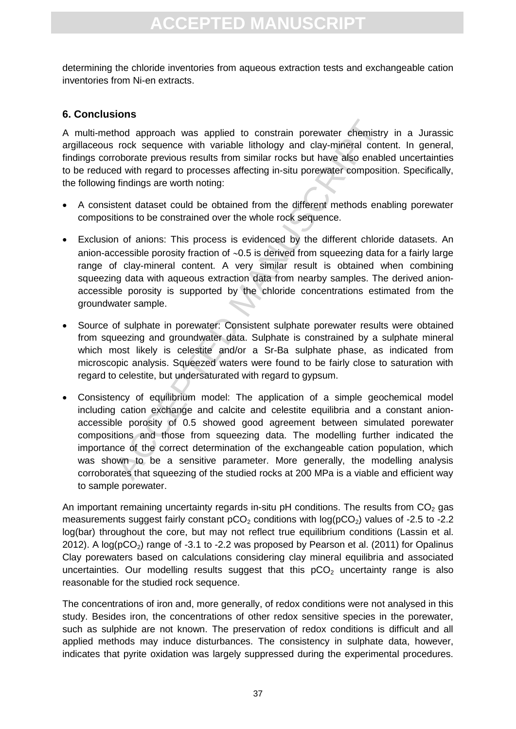determining the chloride inventories from aqueous extraction tests and exchangeable cation inventories from Ni-en extracts.

### **6. Conclusions**

A multi-method approach was applied to constrain porewater chemistry in a Jurassic argillaceous rock sequence with variable lithology and clay-mineral content. In general, findings corroborate previous results from similar rocks but have also enabled uncertainties to be reduced with regard to processes affecting in-situ porewater composition. Specifically, the following findings are worth noting:

- A consistent dataset could be obtained from the different methods enabling porewater compositions to be constrained over the whole rock sequence.
- Exclusion of anions: This process is evidenced by the different chloride datasets. An anion-accessible porosity fraction of  $\sim 0.5$  is derived from squeezing data for a fairly large range of clay-mineral content. A very similar result is obtained when combining squeezing data with aqueous extraction data from nearby samples. The derived anionaccessible porosity is supported by the chloride concentrations estimated from the groundwater sample.
- Source of sulphate in porewater: Consistent sulphate porewater results were obtained from squeezing and groundwater data. Sulphate is constrained by a sulphate mineral which most likely is celestite and/or a Sr-Ba sulphate phase, as indicated from microscopic analysis. Squeezed waters were found to be fairly close to saturation with regard to celestite, but undersaturated with regard to gypsum.
- thod approach was applied to constrain porewater chemistry<br>rock sequence with variable lithology and clay-mineral controborate previous results from similar rocks but have also enabled with regard to processes affecting in Consistency of equilibrium model: The application of a simple geochemical model including cation exchange and calcite and celestite equilibria and a constant anionaccessible porosity of 0.5 showed good agreement between simulated porewater compositions and those from squeezing data. The modelling further indicated the importance of the correct determination of the exchangeable cation population, which was shown to be a sensitive parameter. More generally, the modelling analysis corroborates that squeezing of the studied rocks at 200 MPa is a viable and efficient way to sample porewater.

An important remaining uncertainty regards in-situ pH conditions. The results from  $CO<sub>2</sub>$  gas measurements suggest fairly constant  $pCO<sub>2</sub>$  conditions with log( $pCO<sub>2</sub>$ ) values of -2.5 to -2.2 log(bar) throughout the core, but may not reflect true equilibrium conditions (Lassin et al. 2012). A  $log(pCO<sub>2</sub>)$  range of -3.1 to -2.2 was proposed by Pearson et al. (2011) for Opalinus Clay porewaters based on calculations considering clay mineral equilibria and associated uncertainties. Our modelling results suggest that this  $pCO<sub>2</sub>$  uncertainty range is also reasonable for the studied rock sequence.

The concentrations of iron and, more generally, of redox conditions were not analysed in this study. Besides iron, the concentrations of other redox sensitive species in the porewater, such as sulphide are not known. The preservation of redox conditions is difficult and all applied methods may induce disturbances. The consistency in sulphate data, however, indicates that pyrite oxidation was largely suppressed during the experimental procedures.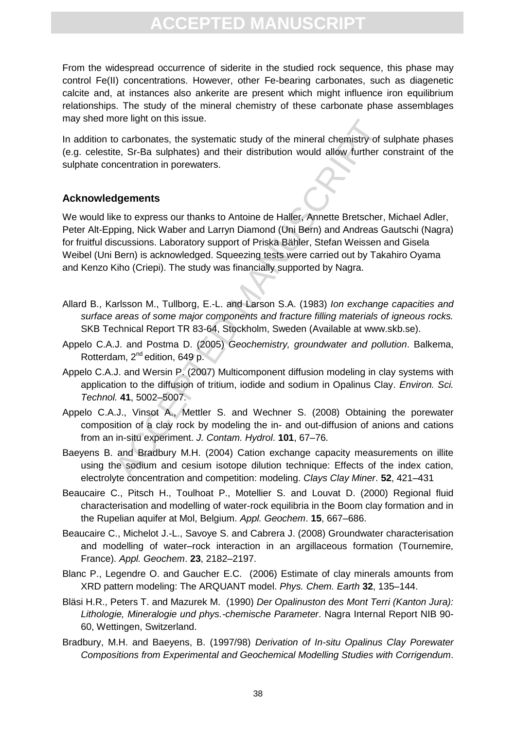From the widespread occurrence of siderite in the studied rock sequence, this phase may control Fe(II) concentrations. However, other Fe-bearing carbonates, such as diagenetic calcite and, at instances also ankerite are present which might influence iron equilibrium relationships. The study of the mineral chemistry of these carbonate phase assemblages may shed more light on this issue.

In addition to carbonates, the systematic study of the mineral chemistry of sulphate phases (e.g. celestite, Sr-Ba sulphates) and their distribution would allow further constraint of the sulphate concentration in porewaters.

### **Acknowledgements**

or engition this issue.<br>
to carbonates, the systematic study of the mineral chemistry of s<br>
te, Sr-Ba sulphates) and their distribution would allow further c<br>
centration in porewaters.<br> **dgements**<br>
se to express our thanks We would like to express our thanks to Antoine de Haller, Annette Bretscher, Michael Adler, Peter Alt-Epping, Nick Waber and Larryn Diamond (Uni Bern) and Andreas Gautschi (Nagra) for fruitful discussions. Laboratory support of Priska Bähler, Stefan Weissen and Gisela Weibel (Uni Bern) is acknowledged. Squeezing tests were carried out by Takahiro Oyama and Kenzo Kiho (Criepi). The study was financially supported by Nagra.

- Allard B., Karlsson M., Tullborg, E.-L. and Larson S.A. (1983) *Ion exchange capacities and surface areas of some major components and fracture filling materials of igneous rocks.* SKB Technical Report TR 83-64, Stockholm, Sweden (Available at www.skb.se).
- Appelo C.A.J. and Postma D. (2005) *Geochemistry, groundwater and pollution*. Balkema, Rotterdam, 2<sup>nd</sup> edition, 649 p.
- Appelo C.A.J. and Wersin P. (2007) Multicomponent diffusion modeling in clay systems with application to the diffusion of tritium, iodide and sodium in Opalinus Clay. *Environ. Sci. Technol.* **41**, 5002–5007.
- Appelo C.A.J., Vinsot A., Mettler S. and Wechner S. (2008) Obtaining the porewater composition of a clay rock by modeling the in- and out-diffusion of anions and cations from an in-situ experiment. *J. Contam. Hydrol*. **101**, 67–76.
- Baeyens B. and Bradbury M.H. (2004) Cation exchange capacity measurements on illite using the sodium and cesium isotope dilution technique: Effects of the index cation, electrolyte concentration and competition: modeling. *Clays Clay Miner*. **52**, 421–431
- Beaucaire C., Pitsch H., Toulhoat P., Motellier S. and Louvat D. (2000) Regional fluid characterisation and modelling of water-rock equilibria in the Boom clay formation and in the Rupelian aquifer at Mol, Belgium. *Appl. Geochem*. **15**, 667–686.
- Beaucaire C., Michelot J.-L., Savoye S. and Cabrera J. (2008) Groundwater characterisation and modelling of water–rock interaction in an argillaceous formation (Tournemire, France). *Appl. Geochem*. **23**, 2182–2197.
- Blanc P., Legendre O. and Gaucher E.C. (2006) Estimate of clay minerals amounts from XRD pattern modeling: The ARQUANT model. *Phys. Chem. Earth* **32**, 135–144.
- Bläsi H.R., Peters T. and Mazurek M. (1990) *Der Opalinuston des Mont Terri (Kanton Jura): Lithologie, Mineralogie und phys.-chemische Parameter*. Nagra Internal Report NIB 90- 60, Wettingen, Switzerland.
- Bradbury, M.H. and Baeyens, B. (1997/98) *Derivation of In-situ Opalinus Clay Porewater Compositions from Experimental and Geochemical Modelling Studies with Corrigendum*.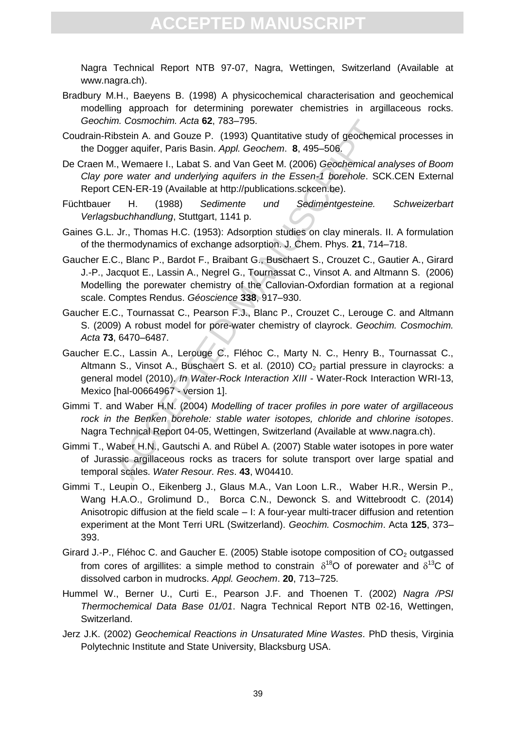Nagra Technical Report NTB 97-07, Nagra, Wettingen, Switzerland (Available at www.nagra.ch).

- Bradbury M.H., Baeyens B. (1998) A physicochemical characterisation and geochemical modelling approach for determining porewater chemistries in argillaceous rocks. *Geochim. Cosmochim. Acta* **62**, 783–795.
- Coudrain-Ribstein A. and Gouze P. (1993) Quantitative study of geochemical processes in the Dogger aquifer, Paris Basin. *Appl. Geochem*. **8**, 495–506.
- De Craen M., Wemaere I., Labat S. and Van Geet M. (2006) *Geochemical analyses of Boom Clay pore water and underlying aquifers in the Essen-1 borehole*. SCK.CEN External Report CEN-ER-19 (Available at http://publications.sckcen.be).
- Füchtbauer H. (1988) *Sedimente und Sedimentgesteine. Schweizerbart Verlagsbuchhandlung*, Stuttgart, 1141 p.
- Gaines G.L. Jr., Thomas H.C. (1953): Adsorption studies on clay minerals. II. A formulation of the thermodynamics of exchange adsorption. J. Chem. Phys. **21**, 714–718.
- Gaucher E.C., Blanc P., Bardot F., Braibant G., Buschaert S., Crouzet C., Gautier A., Girard J.-P., Jacquot E., Lassin A., Negrel G., Tournassat C., Vinsot A. and Altmann S. (2006) Modelling the porewater chemistry of the Callovian-Oxfordian formation at a regional scale. Comptes Rendus. *Géoscience* **338**, 917–930.
- Gaucher E.C., Tournassat C., Pearson F.J., Blanc P., Crouzet C., Lerouge C. and Altmann S. (2009) A robust model for pore-water chemistry of clayrock. *Geochim. Cosmochim. Acta* **73**, 6470–6487.
- m. Cosmochim. Acta 62, 783–795.<br>
bstein A. and Gouze P. (1993) Quantitative study of geochemic<br>
bstein A. and Gouze P. (1993) Quantitative study of geochemical are<br>
greg aquifer, Paris Basin. Appl. Geochem. 8, 495–506.<br>
I. Gaucher E.C., Lassin A., Lerouge C., Fléhoc C., Marty N. C., Henry B., Tournassat C., Altmann S., Vinsot A., Buschaert S. et al. (2010)  $CO<sub>2</sub>$  partial pressure in clayrocks: a general model (2010). *In Water-Rock Interaction XIII* - Water-Rock Interaction WRI-13, Mexico [hal-00664967 - version 1].
- Gimmi T. and Waber H.N. (2004) *Modelling of tracer profiles in pore water of argillaceous rock in the Benken borehole: stable water isotopes, chloride and chlorine isotopes*. Nagra Technical Report 04-05, Wettingen, Switzerland (Available at www.nagra.ch).
- Gimmi T., Waber H.N., Gautschi A. and Rübel A. (2007) Stable water isotopes in pore water of Jurassic argillaceous rocks as tracers for solute transport over large spatial and temporal scales. *Water Resour. Res*. **43**, W04410.
- Gimmi T., Leupin O., Eikenberg J., Glaus M.A., Van Loon L.R., Waber H.R., Wersin P., Wang H.A.O., Grolimund D., Borca C.N., Dewonck S. and Wittebroodt C. (2014) Anisotropic diffusion at the field scale – I: A four-year multi-tracer diffusion and retention experiment at the Mont Terri URL (Switzerland). *Geochim. Cosmochim*. Acta **125**, 373– 393.
- Girard J.-P., Fléhoc C. and Gaucher E. (2005) Stable isotope composition of  $CO<sub>2</sub>$  outgassed from cores of argillites: a simple method to constrain  $\delta^{18}$ O of porewater and  $\delta^{13}$ C of dissolved carbon in mudrocks. *Appl. Geochem*. **20**, 713–725.
- Hummel W., Berner U., Curti E., Pearson J.F. and Thoenen T. (2002) *Nagra /PSI Thermochemical Data Base 01/01*. Nagra Technical Report NTB 02-16, Wettingen, Switzerland.
- Jerz J.K. (2002) *Geochemical Reactions in Unsaturated Mine Wastes*. PhD thesis, Virginia Polytechnic Institute and State University, Blacksburg USA.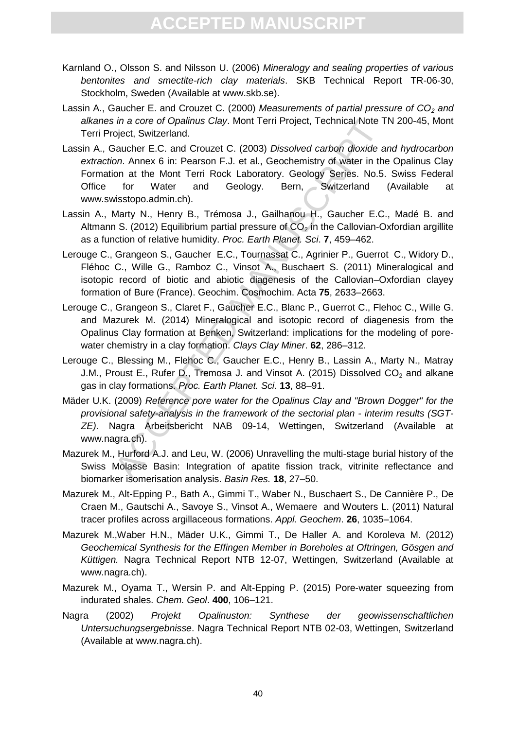- Karnland O., Olsson S. and Nilsson U. (2006) *Mineralogy and sealing properties of various bentonites and smectite-rich clay materials*. SKB Technical Report TR-06-30, Stockholm, Sweden (Available at www.skb.se).
- Lassin A., Gaucher E. and Crouzet C. (2000) *Measurements of partial pressure of CO<sup>2</sup> and alkanes in a core of Opalinus Clay*. Mont Terri Project, Technical Note TN 200-45, Mont Terri Project, Switzerland.
- i *in a core of Opalinus Clay.* Mont Terri Project, Technical Note T<br>oject, Switzerland.<br>
Saucher E.C. and Crouzet C. (2003) *Dissolved carbon dioxide a*<br>
Saucher E.C. and Crouzet C. (2003) *Dissolved carbon dioxide a*<br>
o Lassin A., Gaucher E.C. and Crouzet C. (2003) *Dissolved carbon dioxide and hydrocarbon extraction*. Annex 6 in: Pearson F.J. et al., Geochemistry of water in the Opalinus Clay Formation at the Mont Terri Rock Laboratory. Geology Series. No.5. Swiss Federal Office for Water and Geology. Bern, Switzerland (Available at www.swisstopo.admin.ch).
- Lassin A., Marty N., Henry B., Trémosa J., Gailhanou H., Gaucher E.C., Madé B. and Altmann S. (2012) Equilibrium partial pressure of  $CO<sub>2</sub>$  in the Callovian-Oxfordian argillite as a function of relative humidity. *Proc. Earth Planet. Sci*. **7**, 459–462.
- Lerouge C., Grangeon S., Gaucher E.C., Tournassat C., Agrinier P., Guerrot C., Widory D., Fléhoc C., Wille G., Ramboz C., Vinsot A., Buschaert S. (2011) Mineralogical and isotopic record of biotic and abiotic diagenesis of the Callovian–Oxfordian clayey formation of Bure (France). Geochim. Cosmochim. Acta **75**, 2633–2663.
- Lerouge C., Grangeon S., Claret F., Gaucher E.C., Blanc P., Guerrot C., Flehoc C., Wille G. and Mazurek M. (2014) Mineralogical and isotopic record of diagenesis from the Opalinus Clay formation at Benken, Switzerland: implications for the modeling of porewater chemistry in a clay formation. *Clays Clay Miner*. **62**, 286–312.
- Lerouge C., Blessing M., Flehoc C., Gaucher E.C., Henry B., Lassin A., Marty N., Matray J.M., Proust E., Rufer D., Tremosa J. and Vinsot A. (2015) Dissolved  $CO<sub>2</sub>$  and alkane gas in clay formations. *Proc. Earth Planet. Sci*. **13**, 88–91.
- Mäder U.K. (2009) *Reference pore water for the Opalinus Clay and "Brown Dogger" for the provisional safety-analysis in the framework of the sectorial plan - interim results (SGT-ZE).* Nagra Arbeitsbericht NAB 09-14, Wettingen, Switzerland (Available at www.nagra.ch).
- Mazurek M., Hurford A.J. and Leu, W. (2006) Unravelling the multi-stage burial history of the Swiss Molasse Basin: Integration of apatite fission track, vitrinite reflectance and biomarker isomerisation analysis. *Basin Res.* **18**, 27–50.
- Mazurek M., Alt-Epping P., Bath A., Gimmi T., Waber N., Buschaert S., De Cannière P., De Craen M., Gautschi A., Savoye S., Vinsot A., Wemaere and Wouters L. (2011) Natural tracer profiles across argillaceous formations. *Appl. Geochem*. **26**, 1035–1064.
- Mazurek M.,Waber H.N., Mäder U.K., Gimmi T., De Haller A. and Koroleva M. (2012) *Geochemical Synthesis for the Effingen Member in Boreholes at Oftringen, Gösgen and Küttigen.* Nagra Technical Report NTB 12-07, Wettingen, Switzerland (Available at www.nagra.ch).
- Mazurek M., Oyama T., Wersin P. and Alt-Epping P. (2015) Pore-water squeezing from indurated shales. *Chem. Geol*. **400**, 106–121.
- Nagra (2002) *Projekt Opalinuston: Synthese der geowissenschaftlichen Untersuchungsergebnisse*. Nagra Technical Report NTB 02-03, Wettingen, Switzerland (Available at www.nagra.ch).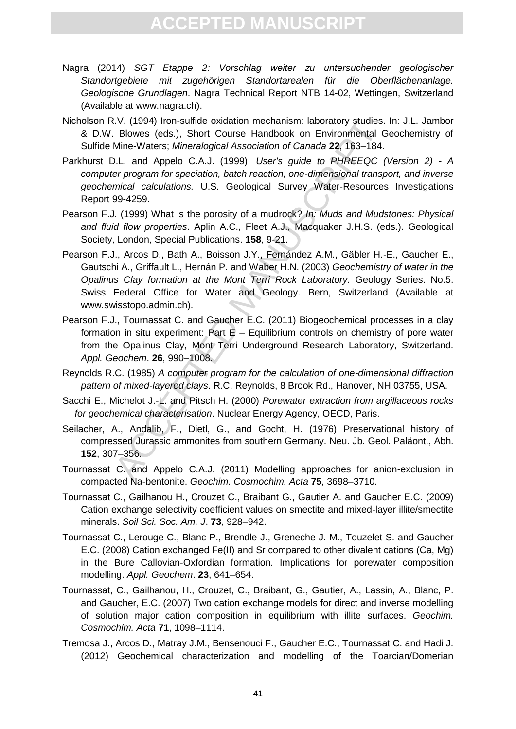- Nagra (2014) *SGT Etappe 2: Vorschlag weiter zu untersuchender geologischer Standortgebiete mit zugehörigen Standortarealen für die Oberflächenanlage. Geologische Grundlagen*. Nagra Technical Report NTB 14-02, Wettingen, Switzerland (Available at www.nagra.ch).
- Nicholson R.V. (1994) Iron-sulfide oxidation mechanism: laboratory studies. In: J.L. Jambor & D.W. Blowes (eds.), Short Course Handbook on Environmental Geochemistry of Sulfide Mine-Waters; *Mineralogical Association of Canada* **22**, 163–184.
- Parkhurst D.L. and Appelo C.A.J. (1999): *User's guide to PHREEQC (Version 2) - A computer program for speciation, batch reaction, one-dimensional transport, and inverse geochemical calculations.* U.S. Geological Survey Water-Resources Investigations Report 99-4259.
- Pearson F.J. (1999) What is the porosity of a mudrock? *In: Muds and Mudstones: Physical and fluid flow properties*. Aplin A.C., Fleet A.J., Macquaker J.H.S. (eds.). Geological Society, London, Special Publications. **158**, 9-21.
- I.V. (1994) Iron-sulfide oxidation mechanism: laboratory studies.<br>
Blowes (eds.), Short Course Handbook on Environmental CBL<br>
Mine-Waters; *Mineralogical Association of Canada 22*, 163–184.<br>
Mine-Waters; *Mineralogical Ass* Pearson F.J., Arcos D., Bath A., Boisson J.Y., Fernández A.M., Gäbler H.-E., Gaucher E., Gautschi A., Griffault L., Hernán P. and Waber H.N. (2003) *Geochemistry of water in the Opalinus Clay formation at the Mont Terri Rock Laboratory.* Geology Series. No.5. Swiss Federal Office for Water and Geology. Bern, Switzerland (Available at www.swisstopo.admin.ch).
- Pearson F.J., Tournassat C. and Gaucher E.C. (2011) Biogeochemical processes in a clay formation in situ experiment: Part  $E -$  Equilibrium controls on chemistry of pore water from the Opalinus Clay, Mont Terri Underground Research Laboratory, Switzerland. *Appl. Geochem*. **26**, 990–1008.
- Reynolds R.C. (1985) *A computer program for the calculation of one-dimensional diffraction pattern of mixed-layered clays*. R.C. Reynolds, 8 Brook Rd., Hanover, NH 03755, USA.
- Sacchi E., Michelot J.-L. and Pitsch H. (2000) *Porewater extraction from argillaceous rocks for geochemical characterisation*. Nuclear Energy Agency, OECD, Paris.
- Seilacher, A., Andalib, F., Dietl, G., and Gocht, H. (1976) Preservational history of compressed Jurassic ammonites from southern Germany. Neu. Jb. Geol. Paläont., Abh. **152**, 307–356.
- Tournassat C. and Appelo C.A.J. (2011) Modelling approaches for anion-exclusion in compacted Na-bentonite. *Geochim. Cosmochim. Acta* **75**, 3698–3710.
- Tournassat C., Gailhanou H., Crouzet C., Braibant G., Gautier A. and Gaucher E.C. (2009) Cation exchange selectivity coefficient values on smectite and mixed-layer illite/smectite minerals. *Soil Sci. Soc. Am. J*. **73**, 928–942.
- Tournassat C., Lerouge C., Blanc P., Brendle J., Greneche J.-M., Touzelet S. and Gaucher E.C. (2008) Cation exchanged Fe(II) and Sr compared to other divalent cations (Ca, Mg) in the Bure Callovian-Oxfordian formation. Implications for porewater composition modelling. *Appl. Geochem*. **23**, 641–654.
- Tournassat, C., Gailhanou, H., Crouzet, C., Braibant, G., Gautier, A., Lassin, A., Blanc, P. and Gaucher, E.C. (2007) Two cation exchange models for direct and inverse modelling of solution major cation composition in equilibrium with illite surfaces. *Geochim. Cosmochim. Acta* **71**, 1098–1114.
- Tremosa J., Arcos D., Matray J.M., Bensenouci F., Gaucher E.C., Tournassat C. and Hadi J. (2012) Geochemical characterization and modelling of the Toarcian/Domerian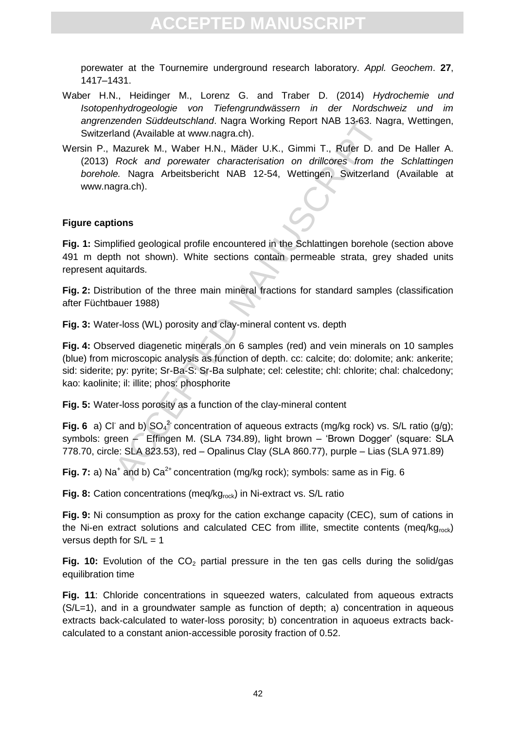porewater at the Tournemire underground research laboratory. *Appl. Geochem*. **27**, 1417–1431.

- Waber H.N., Heidinger M., Lorenz G. and Traber D. (2014) *Hydrochemie und Isotopenhydrogeologie von Tiefengrundwässern in der Nordschweiz und im angrenzenden Süddeutschland*. Nagra Working Report NAB 13-63. Nagra, Wettingen, Switzerland (Available at www.nagra.ch).
- renden Siddeutschland. Nagra Working Report NAB 13-63. Na<br>
Indiable at www.nagra.ch).<br>
Mazurek M., Waber H.N., Mäder U.K., Gimmi T., Rufer D. ar<br>
Mazurek M., Waber H.N., Mäder U.K., Gimmi T., Rufer D. ar<br>
Rock and porewate Wersin P., Mazurek M., Waber H.N., Mäder U.K., Gimmi T., Rufer D. and De Haller A. (2013) *Rock and porewater characterisation on drillcores from the Schlattingen borehole.* Nagra Arbeitsbericht NAB 12-54, Wettingen, Switzerland (Available at www.nagra.ch).

### **Figure captions**

**Fig. 1:** Simplified geological profile encountered in the Schlattingen borehole (section above 491 m depth not shown). White sections contain permeable strata, grey shaded units represent aquitards.

**Fig. 2:** Distribution of the three main mineral fractions for standard samples (classification after Füchtbauer 1988)

**Fig. 3:** Water-loss (WL) porosity and clay-mineral content vs. depth

**Fig. 4:** Observed diagenetic minerals on 6 samples (red) and vein minerals on 10 samples (blue) from microscopic analysis as function of depth. cc: calcite; do: dolomite; ank: ankerite; sid: siderite; py: pyrite; Sr-Ba-S: Sr-Ba sulphate; cel: celestite; chl: chlorite; chal: chalcedony; kao: kaolinite; il: illite; phos: phosphorite

**Fig. 5:** Water-loss porosity as a function of the clay-mineral content

**Fig. 6** a) CI and b)  $SO_4^2$  concentration of aqueous extracts (mg/kg rock) vs. S/L ratio (g/g); symbols: green – Effingen M. (SLA 734.89), light brown – "Brown Dogger" (square: SLA 778.70, circle: SLA 823.53), red – Opalinus Clay (SLA 860.77), purple – Lias (SLA 971.89)

Fig. 7: a) Na<sup>+</sup> and b) Ca<sup>2+</sup> concentration (mg/kg rock); symbols: same as in Fig. 6

Fig. 8: Cation concentrations (meq/kg<sub>rock</sub>) in Ni-extract vs. S/L ratio

**Fig. 9:** Ni consumption as proxy for the cation exchange capacity (CEC), sum of cations in the Ni-en extract solutions and calculated CEC from illite, smectite contents (meg/kg<sub>rock</sub>) versus depth for  $S/L = 1$ 

**Fig. 10:** Evolution of the CO<sub>2</sub> partial pressure in the ten gas cells during the solid/gas equilibration time

**Fig. 11**: Chloride concentrations in squeezed waters, calculated from aqueous extracts (S/L=1), and in a groundwater sample as function of depth; a) concentration in aqueous extracts back-calculated to water-loss porosity; b) concentration in aquoeus extracts backcalculated to a constant anion-accessible porosity fraction of 0.52.